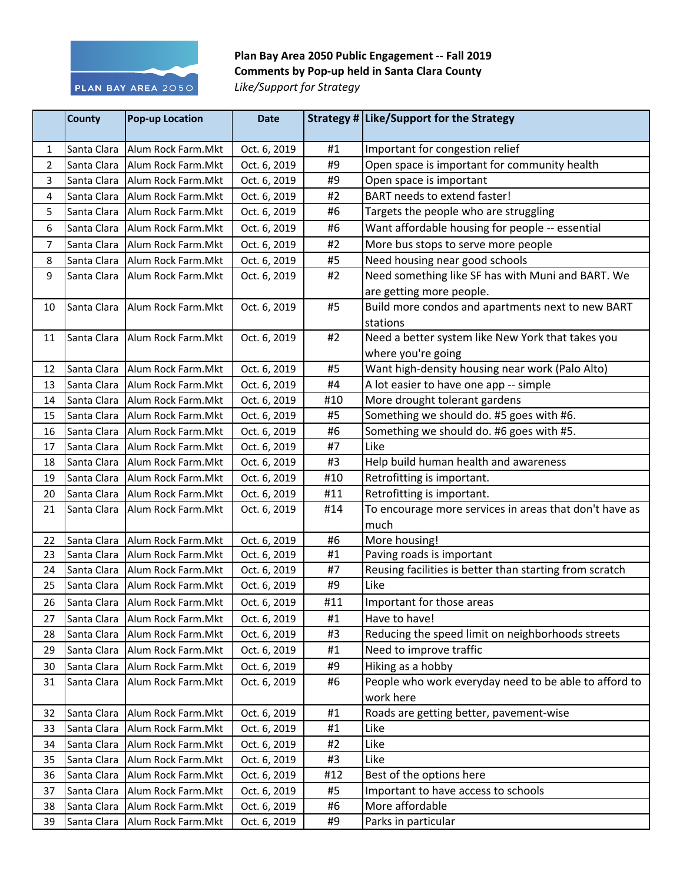

## Plan Bay Area 2050 Public Engagement -- Fall 2019 **Comments by Pop-up held in Santa Clara County** Like/Support for Strategy

|    | <b>County</b> | <b>Pop-up Location</b>            | <b>Date</b>  |     | Strategy # Like/Support for the Strategy                |
|----|---------------|-----------------------------------|--------------|-----|---------------------------------------------------------|
| 1  | Santa Clara   | Alum Rock Farm. Mkt               | Oct. 6, 2019 | #1  | Important for congestion relief                         |
| 2  | Santa Clara   | Alum Rock Farm.Mkt                | Oct. 6, 2019 | #9  | Open space is important for community health            |
| 3  |               | Santa Clara   Alum Rock Farm. Mkt | Oct. 6, 2019 | #9  | Open space is important                                 |
| 4  |               | Santa Clara   Alum Rock Farm. Mkt | Oct. 6, 2019 | #2  | <b>BART</b> needs to extend faster!                     |
| 5  |               | Santa Clara   Alum Rock Farm. Mkt | Oct. 6, 2019 | #6  | Targets the people who are struggling                   |
| 6  |               | Santa Clara   Alum Rock Farm. Mkt | Oct. 6, 2019 | #6  | Want affordable housing for people -- essential         |
| 7  | Santa Clara   | Alum Rock Farm.Mkt                | Oct. 6, 2019 | #2  | More bus stops to serve more people                     |
| 8  |               | Santa Clara   Alum Rock Farm. Mkt | Oct. 6, 2019 | #5  | Need housing near good schools                          |
| 9  |               | Santa Clara   Alum Rock Farm. Mkt | Oct. 6, 2019 | #2  | Need something like SF has with Muni and BART. We       |
|    |               |                                   |              |     | are getting more people.                                |
| 10 | Santa Clara   | Alum Rock Farm. Mkt               | Oct. 6, 2019 | #5  | Build more condos and apartments next to new BART       |
|    |               |                                   |              |     | stations                                                |
| 11 | Santa Clara   | Alum Rock Farm.Mkt                | Oct. 6, 2019 | #2  | Need a better system like New York that takes you       |
|    |               |                                   |              |     | where you're going                                      |
| 12 |               | Santa Clara   Alum Rock Farm. Mkt | Oct. 6, 2019 | #5  | Want high-density housing near work (Palo Alto)         |
| 13 | Santa Clara   | Alum Rock Farm.Mkt                | Oct. 6, 2019 | #4  | A lot easier to have one app -- simple                  |
| 14 |               | Santa Clara Allum Rock Farm. Mkt  | Oct. 6, 2019 | #10 | More drought tolerant gardens                           |
| 15 |               | Santa Clara   Alum Rock Farm. Mkt | Oct. 6, 2019 | #5  | Something we should do. #5 goes with #6.                |
| 16 | Santa Clara   | Alum Rock Farm.Mkt                | Oct. 6, 2019 | #6  | Something we should do. #6 goes with #5.                |
| 17 | Santa Clara   | Alum Rock Farm.Mkt                | Oct. 6, 2019 | #7  | Like                                                    |
| 18 |               | Santa Clara   Alum Rock Farm. Mkt | Oct. 6, 2019 | #3  | Help build human health and awareness                   |
| 19 | Santa Clara   | Alum Rock Farm. Mkt               | Oct. 6, 2019 | #10 | Retrofitting is important.                              |
| 20 | Santa Clara   | Alum Rock Farm.Mkt                | Oct. 6, 2019 | #11 | Retrofitting is important.                              |
| 21 |               | Santa Clara Allum Rock Farm. Mkt  | Oct. 6, 2019 | #14 | To encourage more services in areas that don't have as  |
|    |               |                                   |              |     | much                                                    |
| 22 | Santa Clara   | Alum Rock Farm.Mkt                | Oct. 6, 2019 | #6  | More housing!                                           |
| 23 |               | Santa Clara   Alum Rock Farm. Mkt | Oct. 6, 2019 | #1  | Paving roads is important                               |
| 24 |               | Santa Clara Allum Rock Farm. Mkt  | Oct. 6, 2019 | #7  | Reusing facilities is better than starting from scratch |
| 25 |               | Santa Clara   Alum Rock Farm. Mkt | Oct. 6, 2019 | #9  | Like                                                    |
| 26 |               | Santa Clara   Alum Rock Farm. Mkt | Oct. 6, 2019 | #11 | Important for those areas                               |
| 27 | Santa Clara   | Alum Rock Farm.Mkt                | Oct. 6, 2019 | #1  | Have to have!                                           |
| 28 | Santa Clara   | Alum Rock Farm.Mkt                | Oct. 6, 2019 | #3  | Reducing the speed limit on neighborhoods streets       |
| 29 | Santa Clara   | Alum Rock Farm.Mkt                | Oct. 6, 2019 | #1  | Need to improve traffic                                 |
| 30 | Santa Clara   | Alum Rock Farm.Mkt                | Oct. 6, 2019 | #9  | Hiking as a hobby                                       |
| 31 | Santa Clara   | Alum Rock Farm.Mkt                | Oct. 6, 2019 | #6  | People who work everyday need to be able to afford to   |
|    |               |                                   |              |     | work here                                               |
| 32 | Santa Clara   | Alum Rock Farm.Mkt                | Oct. 6, 2019 | #1  | Roads are getting better, pavement-wise                 |
| 33 | Santa Clara   | Alum Rock Farm.Mkt                | Oct. 6, 2019 | #1  | Like                                                    |
| 34 | Santa Clara   | Alum Rock Farm.Mkt                | Oct. 6, 2019 | #2  | Like                                                    |
| 35 | Santa Clara   | Alum Rock Farm.Mkt                | Oct. 6, 2019 | #3  | Like                                                    |
| 36 | Santa Clara   | Alum Rock Farm.Mkt                | Oct. 6, 2019 | #12 | Best of the options here                                |
| 37 | Santa Clara   | Alum Rock Farm.Mkt                | Oct. 6, 2019 | #5  | Important to have access to schools                     |
| 38 | Santa Clara   | Alum Rock Farm.Mkt                | Oct. 6, 2019 | #6  | More affordable                                         |
| 39 | Santa Clara   | Alum Rock Farm.Mkt                | Oct. 6, 2019 | #9  | Parks in particular                                     |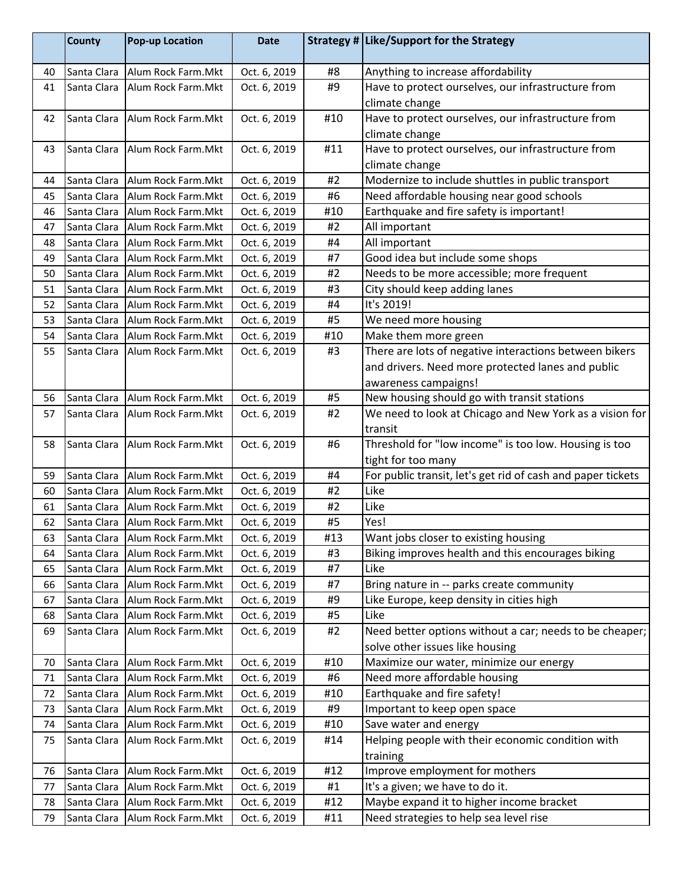|    | <b>County</b> | <b>Pop-up Location</b>            | <b>Date</b>  |     | Strategy # Like/Support for the Strategy                    |
|----|---------------|-----------------------------------|--------------|-----|-------------------------------------------------------------|
| 40 | Santa Clara   | Alum Rock Farm. Mkt               | Oct. 6, 2019 | #8  | Anything to increase affordability                          |
| 41 | Santa Clara   | Alum Rock Farm.Mkt                | Oct. 6, 2019 | #9  | Have to protect ourselves, our infrastructure from          |
|    |               |                                   |              |     | climate change                                              |
| 42 | Santa Clara   | Alum Rock Farm.Mkt                | Oct. 6, 2019 | #10 | Have to protect ourselves, our infrastructure from          |
|    |               |                                   |              |     | climate change                                              |
| 43 | Santa Clara   | Alum Rock Farm.Mkt                | Oct. 6, 2019 | #11 | Have to protect ourselves, our infrastructure from          |
|    |               |                                   |              |     | climate change                                              |
| 44 | Santa Clara   | Alum Rock Farm.Mkt                | Oct. 6, 2019 | #2  | Modernize to include shuttles in public transport           |
| 45 | Santa Clara   | Alum Rock Farm.Mkt                | Oct. 6, 2019 | #6  | Need affordable housing near good schools                   |
| 46 |               | Santa Clara   Alum Rock Farm. Mkt | Oct. 6, 2019 | #10 | Earthquake and fire safety is important!                    |
| 47 | Santa Clara   | Alum Rock Farm.Mkt                | Oct. 6, 2019 | #2  | All important                                               |
| 48 | Santa Clara   | Alum Rock Farm.Mkt                | Oct. 6, 2019 | #4  | All important                                               |
| 49 | Santa Clara   | Alum Rock Farm.Mkt                | Oct. 6, 2019 | #7  | Good idea but include some shops                            |
| 50 | Santa Clara   | Alum Rock Farm.Mkt                | Oct. 6, 2019 | #2  | Needs to be more accessible; more frequent                  |
| 51 | Santa Clara   | Alum Rock Farm.Mkt                | Oct. 6, 2019 | #3  | City should keep adding lanes                               |
| 52 | Santa Clara   | Alum Rock Farm.Mkt                | Oct. 6, 2019 | #4  | It's 2019!                                                  |
| 53 | Santa Clara   | Alum Rock Farm.Mkt                | Oct. 6, 2019 | #5  | We need more housing                                        |
| 54 | Santa Clara   | Alum Rock Farm.Mkt                | Oct. 6, 2019 | #10 | Make them more green                                        |
| 55 | Santa Clara   | Alum Rock Farm.Mkt                | Oct. 6, 2019 | #3  | There are lots of negative interactions between bikers      |
|    |               |                                   |              |     | and drivers. Need more protected lanes and public           |
|    |               |                                   |              |     | awareness campaigns!                                        |
| 56 | Santa Clara   | Alum Rock Farm.Mkt                | Oct. 6, 2019 | #5  | New housing should go with transit stations                 |
| 57 | Santa Clara   | Alum Rock Farm.Mkt                | Oct. 6, 2019 | #2  | We need to look at Chicago and New York as a vision for     |
|    |               |                                   |              |     | transit                                                     |
| 58 | Santa Clara   | Alum Rock Farm.Mkt                | Oct. 6, 2019 | #6  | Threshold for "low income" is too low. Housing is too       |
|    |               |                                   |              |     | tight for too many                                          |
| 59 | Santa Clara   | Alum Rock Farm.Mkt                | Oct. 6, 2019 | #4  | For public transit, let's get rid of cash and paper tickets |
| 60 | Santa Clara   | Alum Rock Farm.Mkt                | Oct. 6, 2019 | #2  | Like                                                        |
| 61 | Santa Clara   | Alum Rock Farm.Mkt                | Oct. 6, 2019 | #2  | Like                                                        |
| 62 | Santa Clara   | Alum Rock Farm.Mkt                | Oct. 6, 2019 | #5  | Yes!                                                        |
| 63 | Santa Clara   | Alum Rock Farm.Mkt                | Oct. 6, 2019 | #13 | Want jobs closer to existing housing                        |
| 64 | Santa Clara   | Alum Rock Farm.Mkt                | Oct. 6, 2019 | #3  | Biking improves health and this encourages biking           |
| 65 | Santa Clara   | Alum Rock Farm.Mkt                | Oct. 6, 2019 | #7  | Like                                                        |
| 66 | Santa Clara   | Alum Rock Farm.Mkt                | Oct. 6, 2019 | #7  | Bring nature in -- parks create community                   |
| 67 | Santa Clara   | Alum Rock Farm.Mkt                | Oct. 6, 2019 | #9  | Like Europe, keep density in cities high                    |
| 68 | Santa Clara   | Alum Rock Farm.Mkt                | Oct. 6, 2019 | #5  | Like                                                        |
| 69 | Santa Clara   | Alum Rock Farm.Mkt                | Oct. 6, 2019 | #2  | Need better options without a car; needs to be cheaper;     |
|    |               |                                   |              |     | solve other issues like housing                             |
| 70 | Santa Clara   | Alum Rock Farm.Mkt                | Oct. 6, 2019 | #10 | Maximize our water, minimize our energy                     |
| 71 | Santa Clara   | Alum Rock Farm.Mkt                | Oct. 6, 2019 | #6  | Need more affordable housing                                |
| 72 | Santa Clara   | Alum Rock Farm.Mkt                | Oct. 6, 2019 | #10 | Earthquake and fire safety!                                 |
| 73 | Santa Clara   | Alum Rock Farm.Mkt                | Oct. 6, 2019 | #9  | Important to keep open space                                |
| 74 | Santa Clara   | Alum Rock Farm.Mkt                | Oct. 6, 2019 | #10 | Save water and energy                                       |
| 75 | Santa Clara   | Alum Rock Farm.Mkt                | Oct. 6, 2019 | #14 | Helping people with their economic condition with           |
|    |               |                                   |              |     | training                                                    |
| 76 | Santa Clara   | Alum Rock Farm.Mkt                | Oct. 6, 2019 | #12 | Improve employment for mothers                              |
| 77 | Santa Clara   | Alum Rock Farm.Mkt                | Oct. 6, 2019 | #1  | It's a given; we have to do it.                             |
| 78 | Santa Clara   | Alum Rock Farm.Mkt                | Oct. 6, 2019 | #12 | Maybe expand it to higher income bracket                    |
| 79 | Santa Clara   | Alum Rock Farm.Mkt                | Oct. 6, 2019 | #11 | Need strategies to help sea level rise                      |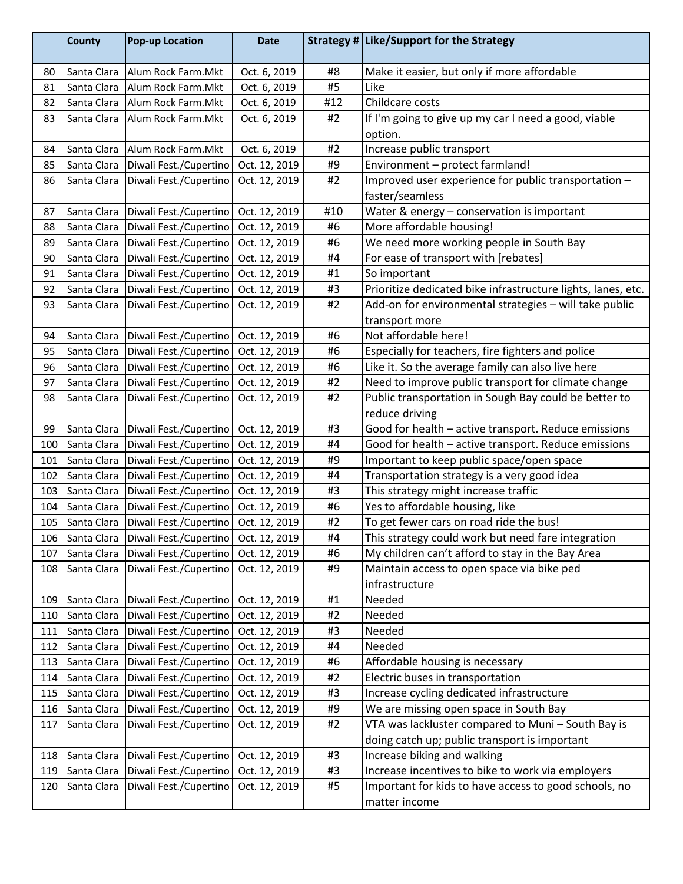|     | <b>County</b> | <b>Pop-up Location</b> | <b>Date</b>   |     | Strategy # Like/Support for the Strategy                     |
|-----|---------------|------------------------|---------------|-----|--------------------------------------------------------------|
| 80  | Santa Clara   | Alum Rock Farm.Mkt     | Oct. 6, 2019  | #8  | Make it easier, but only if more affordable                  |
| 81  | Santa Clara   | Alum Rock Farm.Mkt     | Oct. 6, 2019  | #5  | Like                                                         |
| 82  | Santa Clara   | Alum Rock Farm.Mkt     | Oct. 6, 2019  | #12 | Childcare costs                                              |
| 83  | Santa Clara   | Alum Rock Farm.Mkt     | Oct. 6, 2019  | #2  | If I'm going to give up my car I need a good, viable         |
|     |               |                        |               |     | option.                                                      |
| 84  | Santa Clara   | Alum Rock Farm.Mkt     | Oct. 6, 2019  | #2  | Increase public transport                                    |
| 85  | Santa Clara   | Diwali Fest./Cupertino | Oct. 12, 2019 | #9  | Environment - protect farmland!                              |
| 86  | Santa Clara   | Diwali Fest./Cupertino | Oct. 12, 2019 | #2  | Improved user experience for public transportation -         |
|     |               |                        |               |     | faster/seamless                                              |
| 87  | Santa Clara   | Diwali Fest./Cupertino | Oct. 12, 2019 | #10 | Water & energy - conservation is important                   |
| 88  | Santa Clara   | Diwali Fest./Cupertino | Oct. 12, 2019 | #6  | More affordable housing!                                     |
| 89  | Santa Clara   | Diwali Fest./Cupertino | Oct. 12, 2019 | #6  | We need more working people in South Bay                     |
| 90  | Santa Clara   | Diwali Fest./Cupertino | Oct. 12, 2019 | #4  | For ease of transport with [rebates]                         |
| 91  | Santa Clara   | Diwali Fest./Cupertino | Oct. 12, 2019 | #1  | So important                                                 |
| 92  | Santa Clara   | Diwali Fest./Cupertino | Oct. 12, 2019 | #3  | Prioritize dedicated bike infrastructure lights, lanes, etc. |
| 93  | Santa Clara   | Diwali Fest./Cupertino | Oct. 12, 2019 | #2  | Add-on for environmental strategies - will take public       |
|     |               |                        |               |     | transport more                                               |
| 94  | Santa Clara   | Diwali Fest./Cupertino | Oct. 12, 2019 | #6  | Not affordable here!                                         |
| 95  | Santa Clara   | Diwali Fest./Cupertino | Oct. 12, 2019 | #6  | Especially for teachers, fire fighters and police            |
| 96  | Santa Clara   | Diwali Fest./Cupertino | Oct. 12, 2019 | #6  | Like it. So the average family can also live here            |
| 97  | Santa Clara   | Diwali Fest./Cupertino | Oct. 12, 2019 | #2  | Need to improve public transport for climate change          |
| 98  | Santa Clara   | Diwali Fest./Cupertino | Oct. 12, 2019 | #2  | Public transportation in Sough Bay could be better to        |
|     |               |                        |               |     | reduce driving                                               |
| 99  | Santa Clara   | Diwali Fest./Cupertino | Oct. 12, 2019 | #3  | Good for health - active transport. Reduce emissions         |
| 100 | Santa Clara   | Diwali Fest./Cupertino | Oct. 12, 2019 | #4  | Good for health - active transport. Reduce emissions         |
| 101 | Santa Clara   | Diwali Fest./Cupertino | Oct. 12, 2019 | #9  | Important to keep public space/open space                    |
| 102 | Santa Clara   | Diwali Fest./Cupertino | Oct. 12, 2019 | #4  | Transportation strategy is a very good idea                  |
| 103 | Santa Clara   | Diwali Fest./Cupertino | Oct. 12, 2019 | #3  | This strategy might increase traffic                         |
| 104 | Santa Clara   | Diwali Fest./Cupertino | Oct. 12, 2019 | #6  | Yes to affordable housing, like                              |
| 105 | Santa Clara   | Diwali Fest./Cupertino | Oct. 12, 2019 | #2  | To get fewer cars on road ride the bus!                      |
| 106 | Santa Clara   | Diwali Fest./Cupertino | Oct. 12, 2019 | #4  | This strategy could work but need fare integration           |
| 107 | Santa Clara   | Diwali Fest./Cupertino | Oct. 12, 2019 | #6  | My children can't afford to stay in the Bay Area             |
| 108 | Santa Clara   | Diwali Fest./Cupertino | Oct. 12, 2019 | #9  | Maintain access to open space via bike ped                   |
|     |               |                        |               |     | infrastructure                                               |
| 109 | Santa Clara   | Diwali Fest./Cupertino | Oct. 12, 2019 | #1  | Needed                                                       |
| 110 | Santa Clara   | Diwali Fest./Cupertino | Oct. 12, 2019 | #2  | Needed                                                       |
| 111 | Santa Clara   | Diwali Fest./Cupertino | Oct. 12, 2019 | #3  | Needed                                                       |
| 112 | Santa Clara   | Diwali Fest./Cupertino | Oct. 12, 2019 | #4  | Needed                                                       |
| 113 | Santa Clara   | Diwali Fest./Cupertino | Oct. 12, 2019 | #6  | Affordable housing is necessary                              |
| 114 | Santa Clara   | Diwali Fest./Cupertino | Oct. 12, 2019 | #2  | Electric buses in transportation                             |
| 115 | Santa Clara   | Diwali Fest./Cupertino | Oct. 12, 2019 | #3  | Increase cycling dedicated infrastructure                    |
| 116 | Santa Clara   | Diwali Fest./Cupertino | Oct. 12, 2019 | #9  | We are missing open space in South Bay                       |
| 117 | Santa Clara   | Diwali Fest./Cupertino | Oct. 12, 2019 | #2  | VTA was lackluster compared to Muni - South Bay is           |
|     |               |                        |               |     | doing catch up; public transport is important                |
| 118 | Santa Clara   | Diwali Fest./Cupertino | Oct. 12, 2019 | #3  | Increase biking and walking                                  |
| 119 | Santa Clara   | Diwali Fest./Cupertino | Oct. 12, 2019 | #3  | Increase incentives to bike to work via employers            |
| 120 | Santa Clara   | Diwali Fest./Cupertino | Oct. 12, 2019 | #5  | Important for kids to have access to good schools, no        |
|     |               |                        |               |     | matter income                                                |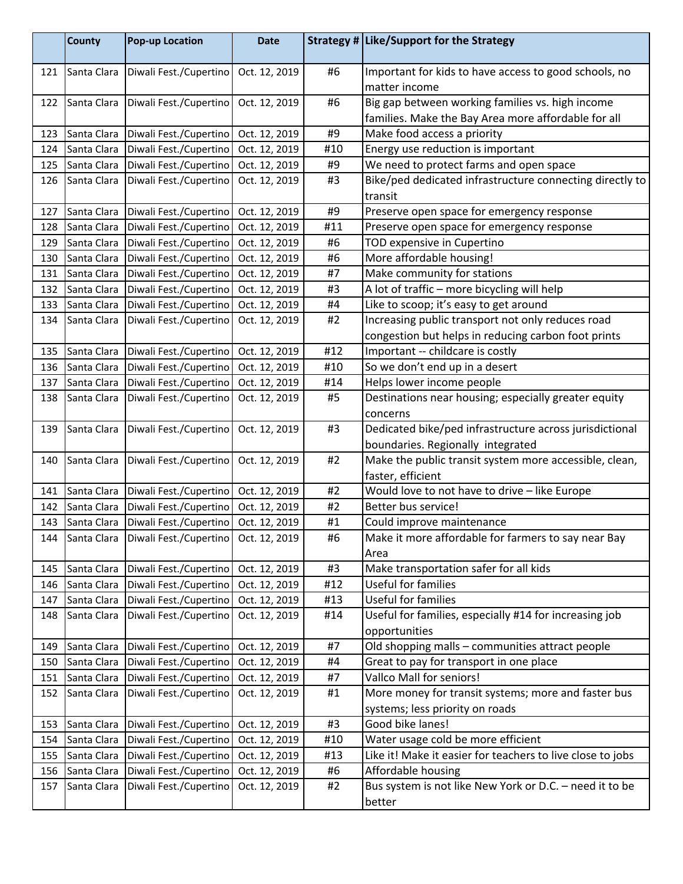|     | <b>County</b> | <b>Pop-up Location</b> | <b>Date</b>   |     | Strategy # Like/Support for the Strategy                               |
|-----|---------------|------------------------|---------------|-----|------------------------------------------------------------------------|
| 121 | Santa Clara   | Diwali Fest./Cupertino | Oct. 12, 2019 | #6  | Important for kids to have access to good schools, no<br>matter income |
| 122 | Santa Clara   | Diwali Fest./Cupertino | Oct. 12, 2019 | #6  | Big gap between working families vs. high income                       |
|     |               |                        |               |     | families. Make the Bay Area more affordable for all                    |
| 123 | Santa Clara   | Diwali Fest./Cupertino | Oct. 12, 2019 | #9  | Make food access a priority                                            |
| 124 | Santa Clara   | Diwali Fest./Cupertino | Oct. 12, 2019 | #10 | Energy use reduction is important                                      |
| 125 | Santa Clara   | Diwali Fest./Cupertino | Oct. 12, 2019 | #9  | We need to protect farms and open space                                |
| 126 | Santa Clara   | Diwali Fest./Cupertino | Oct. 12, 2019 | #3  | Bike/ped dedicated infrastructure connecting directly to               |
|     |               |                        |               |     | transit                                                                |
| 127 | Santa Clara   | Diwali Fest./Cupertino | Oct. 12, 2019 | #9  | Preserve open space for emergency response                             |
| 128 | Santa Clara   | Diwali Fest./Cupertino | Oct. 12, 2019 | #11 | Preserve open space for emergency response                             |
| 129 | Santa Clara   | Diwali Fest./Cupertino | Oct. 12, 2019 | #6  | TOD expensive in Cupertino                                             |
| 130 | Santa Clara   | Diwali Fest./Cupertino | Oct. 12, 2019 | #6  | More affordable housing!                                               |
| 131 | Santa Clara   | Diwali Fest./Cupertino | Oct. 12, 2019 | #7  | Make community for stations                                            |
| 132 | Santa Clara   | Diwali Fest./Cupertino | Oct. 12, 2019 | #3  | A lot of traffic - more bicycling will help                            |
| 133 | Santa Clara   | Diwali Fest./Cupertino | Oct. 12, 2019 | #4  | Like to scoop; it's easy to get around                                 |
| 134 | Santa Clara   | Diwali Fest./Cupertino | Oct. 12, 2019 | #2  | Increasing public transport not only reduces road                      |
|     |               |                        |               |     | congestion but helps in reducing carbon foot prints                    |
| 135 | Santa Clara   | Diwali Fest./Cupertino | Oct. 12, 2019 | #12 | Important -- childcare is costly                                       |
| 136 | Santa Clara   | Diwali Fest./Cupertino | Oct. 12, 2019 | #10 | So we don't end up in a desert                                         |
| 137 | Santa Clara   | Diwali Fest./Cupertino | Oct. 12, 2019 | #14 | Helps lower income people                                              |
| 138 | Santa Clara   | Diwali Fest./Cupertino | Oct. 12, 2019 | #5  | Destinations near housing; especially greater equity                   |
|     |               |                        |               |     | concerns                                                               |
| 139 | Santa Clara   | Diwali Fest./Cupertino | Oct. 12, 2019 | #3  | Dedicated bike/ped infrastructure across jurisdictional                |
|     |               |                        |               |     | boundaries. Regionally integrated                                      |
| 140 | Santa Clara   | Diwali Fest./Cupertino | Oct. 12, 2019 | #2  | Make the public transit system more accessible, clean,                 |
|     |               |                        |               |     | faster, efficient                                                      |
| 141 | Santa Clara   | Diwali Fest./Cupertino | Oct. 12, 2019 | #2  | Would love to not have to drive - like Europe                          |
| 142 | Santa Clara   | Diwali Fest./Cupertino | Oct. 12, 2019 | #2  | Better bus service!                                                    |
| 143 | Santa Clara   | Diwali Fest./Cupertino | Oct. 12, 2019 | #1  | Could improve maintenance                                              |
| 144 | Santa Clara   | Diwali Fest./Cupertino | Oct. 12, 2019 | #6  | Make it more affordable for farmers to say near Bay                    |
|     |               |                        |               |     | Area                                                                   |
| 145 | Santa Clara   | Diwali Fest./Cupertino | Oct. 12, 2019 | #3  | Make transportation safer for all kids                                 |
| 146 | Santa Clara   | Diwali Fest./Cupertino | Oct. 12, 2019 | #12 | Useful for families                                                    |
| 147 | Santa Clara   | Diwali Fest./Cupertino | Oct. 12, 2019 | #13 | Useful for families                                                    |
| 148 | Santa Clara   | Diwali Fest./Cupertino | Oct. 12, 2019 | #14 | Useful for families, especially #14 for increasing job                 |
|     |               |                        |               |     | opportunities                                                          |
| 149 | Santa Clara   | Diwali Fest./Cupertino | Oct. 12, 2019 | #7  | Old shopping malls - communities attract people                        |
| 150 | Santa Clara   | Diwali Fest./Cupertino | Oct. 12, 2019 | #4  | Great to pay for transport in one place                                |
| 151 | Santa Clara   | Diwali Fest./Cupertino | Oct. 12, 2019 | #7  | Vallco Mall for seniors!                                               |
| 152 | Santa Clara   | Diwali Fest./Cupertino | Oct. 12, 2019 | #1  | More money for transit systems; more and faster bus                    |
|     |               |                        |               |     | systems; less priority on roads                                        |
| 153 | Santa Clara   | Diwali Fest./Cupertino | Oct. 12, 2019 | #3  | Good bike lanes!                                                       |
| 154 | Santa Clara   | Diwali Fest./Cupertino | Oct. 12, 2019 | #10 | Water usage cold be more efficient                                     |
| 155 | Santa Clara   | Diwali Fest./Cupertino | Oct. 12, 2019 | #13 | Like it! Make it easier for teachers to live close to jobs             |
| 156 | Santa Clara   | Diwali Fest./Cupertino | Oct. 12, 2019 | #6  | Affordable housing                                                     |
| 157 | Santa Clara   | Diwali Fest./Cupertino | Oct. 12, 2019 | #2  | Bus system is not like New York or D.C. - need it to be                |
|     |               |                        |               |     | better                                                                 |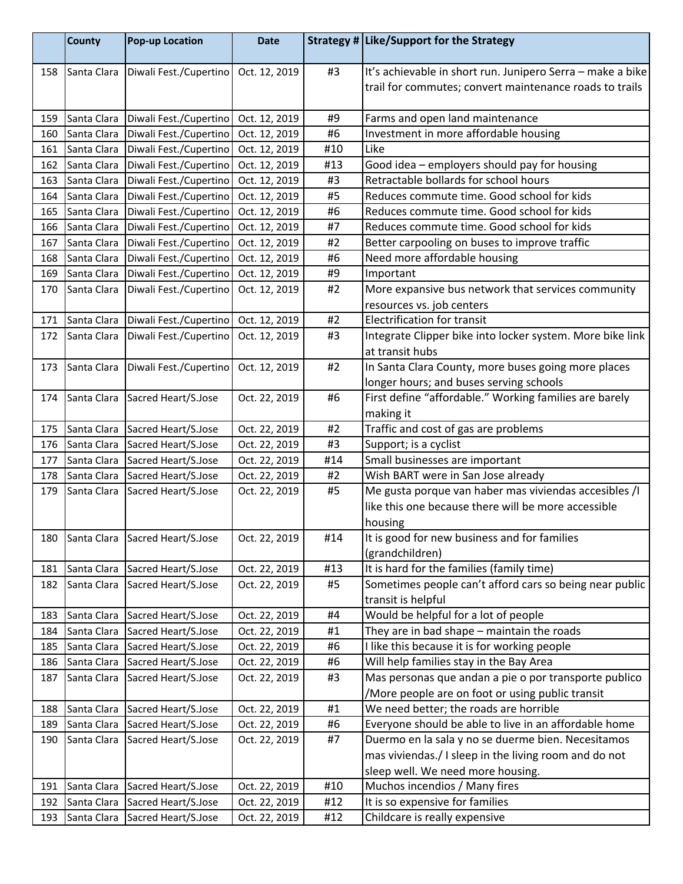|     | <b>County</b> | <b>Pop-up Location</b>          | <b>Date</b>   |     | Strategy # Like/Support for the Strategy                   |
|-----|---------------|---------------------------------|---------------|-----|------------------------------------------------------------|
| 158 | Santa Clara   | Diwali Fest./Cupertino          | Oct. 12, 2019 | #3  | It's achievable in short run. Junipero Serra - make a bike |
|     |               |                                 |               |     | trail for commutes; convert maintenance roads to trails    |
| 159 | Santa Clara   | Diwali Fest./Cupertino          | Oct. 12, 2019 | #9  | Farms and open land maintenance                            |
| 160 | Santa Clara   | Diwali Fest./Cupertino          | Oct. 12, 2019 | #6  | Investment in more affordable housing                      |
| 161 | Santa Clara   | Diwali Fest./Cupertino          | Oct. 12, 2019 | #10 | Like                                                       |
| 162 | Santa Clara   | Diwali Fest./Cupertino          | Oct. 12, 2019 | #13 | Good idea - employers should pay for housing               |
| 163 | Santa Clara   | Diwali Fest./Cupertino          | Oct. 12, 2019 | #3  | Retractable bollards for school hours                      |
| 164 | Santa Clara   | Diwali Fest./Cupertino          | Oct. 12, 2019 | #5  | Reduces commute time. Good school for kids                 |
| 165 | Santa Clara   | Diwali Fest./Cupertino          | Oct. 12, 2019 | #6  | Reduces commute time. Good school for kids                 |
| 166 | Santa Clara   | Diwali Fest./Cupertino          | Oct. 12, 2019 | #7  | Reduces commute time. Good school for kids                 |
| 167 | Santa Clara   | Diwali Fest./Cupertino          | Oct. 12, 2019 | #2  | Better carpooling on buses to improve traffic              |
| 168 | Santa Clara   | Diwali Fest./Cupertino          | Oct. 12, 2019 | #6  | Need more affordable housing                               |
| 169 | Santa Clara   | Diwali Fest./Cupertino          | Oct. 12, 2019 | #9  | Important                                                  |
| 170 | Santa Clara   | Diwali Fest./Cupertino          | Oct. 12, 2019 | #2  | More expansive bus network that services community         |
|     |               |                                 |               |     | resources vs. job centers                                  |
| 171 | Santa Clara   | Diwali Fest./Cupertino          | Oct. 12, 2019 | #2  | <b>Electrification for transit</b>                         |
| 172 | Santa Clara   | Diwali Fest./Cupertino          | Oct. 12, 2019 | #3  | Integrate Clipper bike into locker system. More bike link  |
|     |               |                                 |               |     | at transit hubs                                            |
| 173 | Santa Clara   | Diwali Fest./Cupertino          | Oct. 12, 2019 | #2  | In Santa Clara County, more buses going more places        |
|     |               |                                 |               |     | longer hours; and buses serving schools                    |
| 174 | Santa Clara   | Sacred Heart/S.Jose             | Oct. 22, 2019 | #6  | First define "affordable." Working families are barely     |
|     |               |                                 |               |     | making it                                                  |
| 175 | Santa Clara   | Sacred Heart/S.Jose             | Oct. 22, 2019 | #2  | Traffic and cost of gas are problems                       |
| 176 | Santa Clara   | Sacred Heart/S.Jose             | Oct. 22, 2019 | #3  | Support; is a cyclist                                      |
| 177 | Santa Clara   | Sacred Heart/S.Jose             | Oct. 22, 2019 | #14 | Small businesses are important                             |
| 178 | Santa Clara   | Sacred Heart/S.Jose             | Oct. 22, 2019 | #2  | Wish BART were in San Jose already                         |
| 179 | Santa Clara   | Sacred Heart/S.Jose             | Oct. 22, 2019 | #5  | Me gusta porque van haber mas viviendas accesibles /I      |
|     |               |                                 |               |     | like this one because there will be more accessible        |
|     |               |                                 |               |     | housing                                                    |
| 180 |               | Santa Clara Sacred Heart/S.Jose | Oct. 22, 2019 | #14 | It is good for new business and for families               |
|     |               |                                 |               |     | (grandchildren)                                            |
| 181 | Santa Clara   | Sacred Heart/S.Jose             | Oct. 22, 2019 | #13 | It is hard for the families (family time)                  |
| 182 | Santa Clara   | Sacred Heart/S.Jose             | Oct. 22, 2019 | #5  | Sometimes people can't afford cars so being near public    |
|     |               |                                 |               |     | transit is helpful                                         |
| 183 | Santa Clara   | Sacred Heart/S.Jose             | Oct. 22, 2019 | #4  | Would be helpful for a lot of people                       |
| 184 | Santa Clara   | Sacred Heart/S.Jose             | Oct. 22, 2019 | #1  | They are in bad shape - maintain the roads                 |
| 185 | Santa Clara   | Sacred Heart/S.Jose             | Oct. 22, 2019 | #6  | I like this because it is for working people               |
| 186 | Santa Clara   | Sacred Heart/S.Jose             | Oct. 22, 2019 | #6  | Will help families stay in the Bay Area                    |
| 187 | Santa Clara   | Sacred Heart/S.Jose             | Oct. 22, 2019 | #3  | Mas personas que andan a pie o por transporte publico      |
|     |               |                                 |               |     | /More people are on foot or using public transit           |
| 188 | Santa Clara   | Sacred Heart/S.Jose             | Oct. 22, 2019 | #1  | We need better; the roads are horrible                     |
| 189 | Santa Clara   | Sacred Heart/S.Jose             | Oct. 22, 2019 | #6  | Everyone should be able to live in an affordable home      |
| 190 | Santa Clara   | Sacred Heart/S.Jose             | Oct. 22, 2019 | #7  | Duermo en la sala y no se duerme bien. Necesitamos         |
|     |               |                                 |               |     | mas viviendas./ I sleep in the living room and do not      |
|     |               |                                 |               |     | sleep well. We need more housing.                          |
| 191 | Santa Clara   | Sacred Heart/S.Jose             | Oct. 22, 2019 | #10 | Muchos incendios / Many fires                              |
| 192 | Santa Clara   | Sacred Heart/S.Jose             | Oct. 22, 2019 | #12 | It is so expensive for families                            |
| 193 | Santa Clara   | Sacred Heart/S.Jose             | Oct. 22, 2019 | #12 | Childcare is really expensive                              |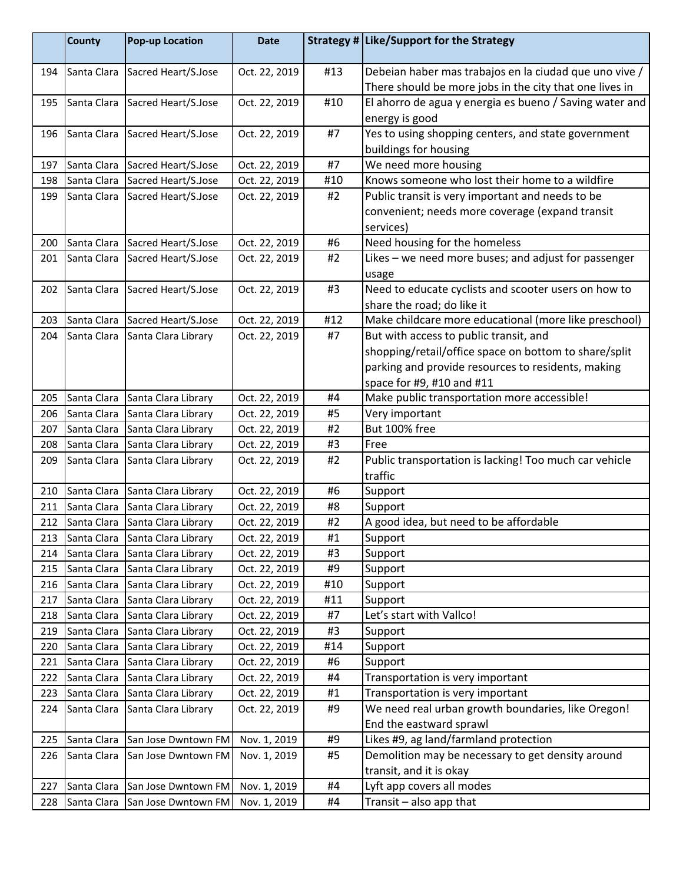|     | <b>County</b> | <b>Pop-up Location</b> | <b>Date</b>   |     | Strategy # Like/Support for the Strategy                |
|-----|---------------|------------------------|---------------|-----|---------------------------------------------------------|
| 194 | Santa Clara   | Sacred Heart/S.Jose    | Oct. 22, 2019 | #13 | Debeian haber mas trabajos en la ciudad que uno vive /  |
|     |               |                        |               |     | There should be more jobs in the city that one lives in |
| 195 | Santa Clara   | Sacred Heart/S.Jose    | Oct. 22, 2019 | #10 | El ahorro de agua y energia es bueno / Saving water and |
|     |               |                        |               |     | energy is good                                          |
| 196 | Santa Clara   | Sacred Heart/S.Jose    | Oct. 22, 2019 | #7  | Yes to using shopping centers, and state government     |
|     |               |                        |               |     | buildings for housing                                   |
| 197 | Santa Clara   | Sacred Heart/S.Jose    | Oct. 22, 2019 | #7  | We need more housing                                    |
| 198 | Santa Clara   | Sacred Heart/S.Jose    | Oct. 22, 2019 | #10 | Knows someone who lost their home to a wildfire         |
| 199 | Santa Clara   | Sacred Heart/S.Jose    | Oct. 22, 2019 | #2  | Public transit is very important and needs to be        |
|     |               |                        |               |     | convenient; needs more coverage (expand transit         |
|     |               |                        |               |     | services)                                               |
| 200 | Santa Clara   | Sacred Heart/S.Jose    | Oct. 22, 2019 | #6  | Need housing for the homeless                           |
| 201 | Santa Clara   | Sacred Heart/S.Jose    | Oct. 22, 2019 | #2  | Likes - we need more buses; and adjust for passenger    |
|     |               |                        |               |     | usage                                                   |
| 202 | Santa Clara   | Sacred Heart/S.Jose    | Oct. 22, 2019 | #3  | Need to educate cyclists and scooter users on how to    |
|     |               |                        |               |     | share the road; do like it                              |
| 203 | Santa Clara   | Sacred Heart/S.Jose    | Oct. 22, 2019 | #12 | Make childcare more educational (more like preschool)   |
| 204 | Santa Clara   | Santa Clara Library    | Oct. 22, 2019 | #7  | But with access to public transit, and                  |
|     |               |                        |               |     | shopping/retail/office space on bottom to share/split   |
|     |               |                        |               |     | parking and provide resources to residents, making      |
|     |               |                        |               |     | space for #9, #10 and #11                               |
| 205 | Santa Clara   | Santa Clara Library    | Oct. 22, 2019 | #4  | Make public transportation more accessible!             |
| 206 | Santa Clara   | Santa Clara Library    | Oct. 22, 2019 | #5  | Very important                                          |
| 207 | Santa Clara   | Santa Clara Library    | Oct. 22, 2019 | #2  | But 100% free                                           |
| 208 | Santa Clara   | Santa Clara Library    | Oct. 22, 2019 | #3  | Free                                                    |
| 209 | Santa Clara   | Santa Clara Library    | Oct. 22, 2019 | #2  | Public transportation is lacking! Too much car vehicle  |
|     |               |                        |               |     | traffic                                                 |
| 210 | Santa Clara   | Santa Clara Library    | Oct. 22, 2019 | #6  | Support                                                 |
| 211 | Santa Clara   | Santa Clara Library    | Oct. 22, 2019 | #8  | Support                                                 |
| 212 | Santa Clara   | Santa Clara Library    | Oct. 22, 2019 | #2  | A good idea, but need to be affordable                  |
| 213 | Santa Clara   | Santa Clara Library    | Oct. 22, 2019 | #1  | Support                                                 |
| 214 | Santa Clara   | Santa Clara Library    | Oct. 22, 2019 | #3  | Support                                                 |
| 215 | Santa Clara   | Santa Clara Library    | Oct. 22, 2019 | #9  | Support                                                 |
| 216 | Santa Clara   | Santa Clara Library    | Oct. 22, 2019 | #10 | Support                                                 |
| 217 | Santa Clara   | Santa Clara Library    | Oct. 22, 2019 | #11 | Support                                                 |
| 218 | Santa Clara   | Santa Clara Library    | Oct. 22, 2019 | #7  | Let's start with Vallco!                                |
| 219 | Santa Clara   | Santa Clara Library    | Oct. 22, 2019 | #3  | Support                                                 |
| 220 | Santa Clara   | Santa Clara Library    | Oct. 22, 2019 | #14 | Support                                                 |
| 221 | Santa Clara   | Santa Clara Library    | Oct. 22, 2019 | #6  | Support                                                 |
| 222 | Santa Clara   | Santa Clara Library    | Oct. 22, 2019 | #4  | Transportation is very important                        |
| 223 | Santa Clara   | Santa Clara Library    | Oct. 22, 2019 | #1  | Transportation is very important                        |
| 224 | Santa Clara   | Santa Clara Library    | Oct. 22, 2019 | #9  | We need real urban growth boundaries, like Oregon!      |
|     |               |                        |               |     | End the eastward sprawl                                 |
| 225 | Santa Clara   | San Jose Dwntown FM    | Nov. 1, 2019  | #9  | Likes #9, ag land/farmland protection                   |
| 226 | Santa Clara   | San Jose Dwntown FM    | Nov. 1, 2019  | #5  | Demolition may be necessary to get density around       |
|     |               |                        |               |     | transit, and it is okay                                 |
| 227 | Santa Clara   | San Jose Dwntown FM    | Nov. 1, 2019  | #4  | Lyft app covers all modes                               |
| 228 | Santa Clara   | San Jose Dwntown FM    | Nov. 1, 2019  | #4  | Transit - also app that                                 |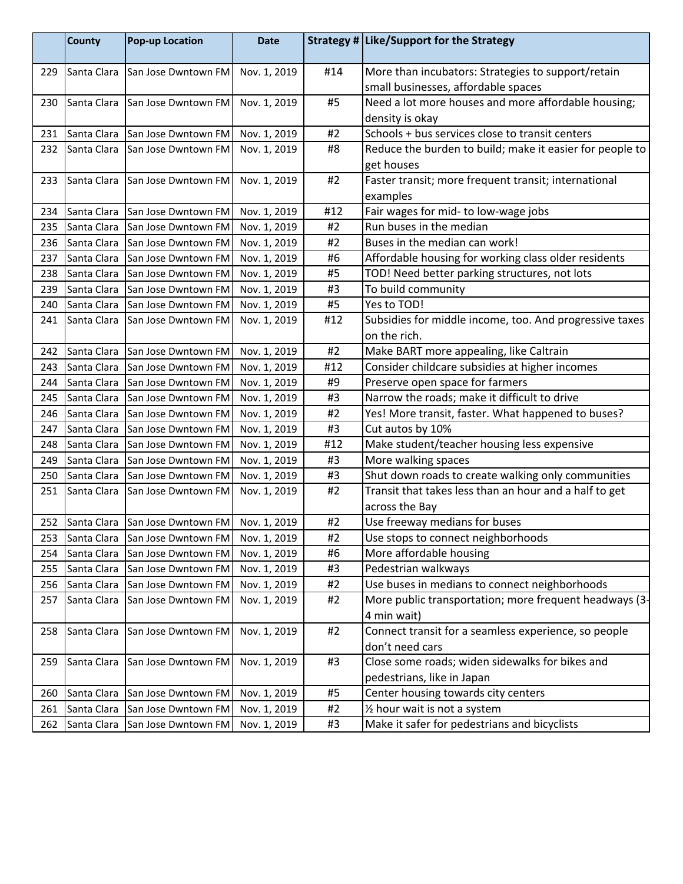|     | <b>County</b> | <b>Pop-up Location</b>          | <b>Date</b>  |     | Strategy # Like/Support for the Strategy                 |
|-----|---------------|---------------------------------|--------------|-----|----------------------------------------------------------|
| 229 | Santa Clara   | San Jose Dwntown FM             | Nov. 1, 2019 | #14 | More than incubators: Strategies to support/retain       |
|     |               |                                 |              |     | small businesses, affordable spaces                      |
| 230 | Santa Clara   | San Jose Dwntown FM             | Nov. 1, 2019 | #5  | Need a lot more houses and more affordable housing;      |
|     |               |                                 |              |     | density is okay                                          |
| 231 |               | Santa Clara San Jose Dwntown FM | Nov. 1, 2019 | #2  | Schools + bus services close to transit centers          |
| 232 | Santa Clara   | San Jose Dwntown FM             | Nov. 1, 2019 | #8  | Reduce the burden to build; make it easier for people to |
|     |               |                                 |              |     | get houses                                               |
| 233 | Santa Clara   | San Jose Dwntown FM             | Nov. 1, 2019 | #2  | Faster transit; more frequent transit; international     |
|     |               |                                 |              |     | examples                                                 |
| 234 |               | Santa Clara San Jose Dwntown FM | Nov. 1, 2019 | #12 | Fair wages for mid- to low-wage jobs                     |
| 235 | Santa Clara   | San Jose Dwntown FM             | Nov. 1, 2019 | #2  | Run buses in the median                                  |
| 236 | Santa Clara   | San Jose Dwntown FM             | Nov. 1, 2019 | #2  | Buses in the median can work!                            |
| 237 | Santa Clara   | San Jose Dwntown FM             | Nov. 1, 2019 | #6  | Affordable housing for working class older residents     |
| 238 | Santa Clara   | San Jose Dwntown FM             | Nov. 1, 2019 | #5  | TOD! Need better parking structures, not lots            |
| 239 | Santa Clara   | San Jose Dwntown FM             | Nov. 1, 2019 | #3  | To build community                                       |
| 240 |               | Santa Clara San Jose Dwntown FM | Nov. 1, 2019 | #5  | Yes to TOD!                                              |
| 241 | Santa Clara   | San Jose Dwntown FM             | Nov. 1, 2019 | #12 | Subsidies for middle income, too. And progressive taxes  |
|     |               |                                 |              |     | on the rich.                                             |
| 242 | Santa Clara   | San Jose Dwntown FM             | Nov. 1, 2019 | #2  | Make BART more appealing, like Caltrain                  |
| 243 | Santa Clara   | San Jose Dwntown FM             | Nov. 1, 2019 | #12 | Consider childcare subsidies at higher incomes           |
| 244 | Santa Clara   | San Jose Dwntown FM             | Nov. 1, 2019 | #9  | Preserve open space for farmers                          |
| 245 | Santa Clara   | San Jose Dwntown FM             | Nov. 1, 2019 | #3  | Narrow the roads; make it difficult to drive             |
| 246 | Santa Clara   | San Jose Dwntown FM             | Nov. 1, 2019 | #2  | Yes! More transit, faster. What happened to buses?       |
| 247 | Santa Clara   | San Jose Dwntown FM             | Nov. 1, 2019 | #3  | Cut autos by 10%                                         |
| 248 | Santa Clara   | San Jose Dwntown FM             | Nov. 1, 2019 | #12 | Make student/teacher housing less expensive              |
| 249 | Santa Clara   | San Jose Dwntown FM             | Nov. 1, 2019 | #3  | More walking spaces                                      |
| 250 | Santa Clara   | San Jose Dwntown FM             | Nov. 1, 2019 | #3  | Shut down roads to create walking only communities       |
| 251 | Santa Clara   | San Jose Dwntown FM             | Nov. 1, 2019 | #2  | Transit that takes less than an hour and a half to get   |
|     |               |                                 |              |     | across the Bay                                           |
| 252 |               | Santa Clara San Jose Dwntown FM | Nov. 1, 2019 | #2  | Use freeway medians for buses                            |
| 253 | Santa Clara   | San Jose Dwntown FM             | Nov. 1, 2019 | #2  | Use stops to connect neighborhoods                       |
| 254 | Santa Clara   | San Jose Dwntown FM             | Nov. 1, 2019 | #6  | More affordable housing                                  |
| 255 | Santa Clara   | San Jose Dwntown FM             | Nov. 1, 2019 | #3  | Pedestrian walkways                                      |
| 256 | Santa Clara   | San Jose Dwntown FM             | Nov. 1, 2019 | #2  | Use buses in medians to connect neighborhoods            |
| 257 | Santa Clara   | San Jose Dwntown FM             | Nov. 1, 2019 | #2  | More public transportation; more frequent headways (3-   |
|     |               |                                 |              |     | 4 min wait)                                              |
| 258 | Santa Clara   | San Jose Dwntown FM             | Nov. 1, 2019 | #2  | Connect transit for a seamless experience, so people     |
|     |               |                                 |              |     | don't need cars                                          |
| 259 | Santa Clara   | San Jose Dwntown FM             | Nov. 1, 2019 | #3  | Close some roads; widen sidewalks for bikes and          |
|     |               |                                 |              |     | pedestrians, like in Japan                               |
| 260 | Santa Clara   | San Jose Dwntown FM             | Nov. 1, 2019 | #5  | Center housing towards city centers                      |
| 261 | Santa Clara   | San Jose Dwntown FM             | Nov. 1, 2019 | #2  | 1/2 hour wait is not a system                            |
| 262 | Santa Clara   | San Jose Dwntown FM             | Nov. 1, 2019 | #3  | Make it safer for pedestrians and bicyclists             |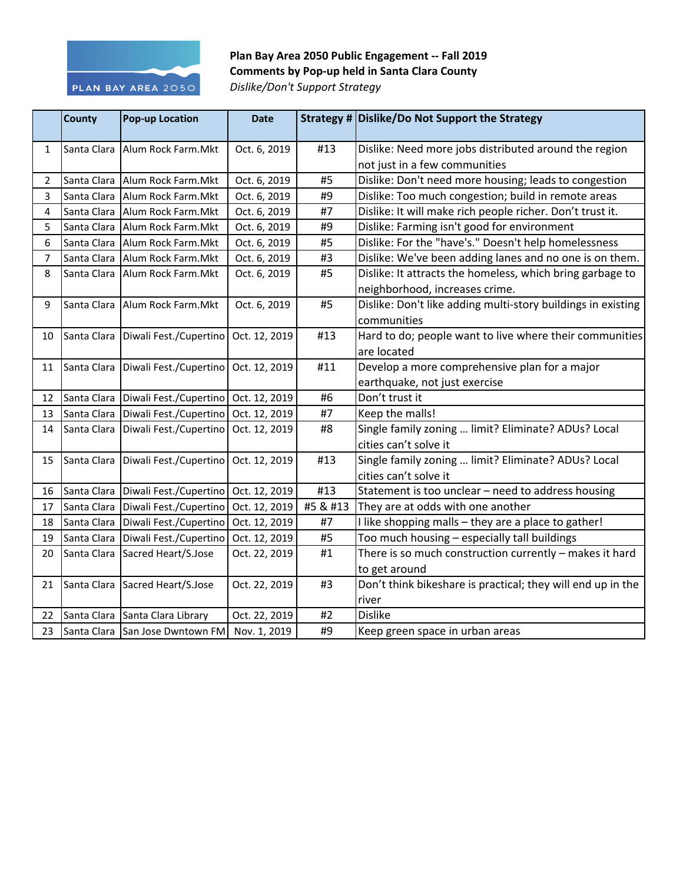

Plan Bay Area 2050 Public Engagement -- Fall 2019 **Comments by Pop-up held in Santa Clara County** *Dislike/Don't Support Strategy*

|                | <b>County</b> | <b>Pop-up Location</b>          | <b>Date</b>   |          | Strategy # Dislike/Do Not Support the Strategy               |
|----------------|---------------|---------------------------------|---------------|----------|--------------------------------------------------------------|
| $\mathbf{1}$   | Santa Clara   | Alum Rock Farm. Mkt             | Oct. 6, 2019  | #13      | Dislike: Need more jobs distributed around the region        |
|                |               |                                 |               |          | not just in a few communities                                |
| 2              | Santa Clara   | Alum Rock Farm.Mkt              | Oct. 6, 2019  | #5       | Dislike: Don't need more housing; leads to congestion        |
| 3              | Santa Clara   | Alum Rock Farm.Mkt              | Oct. 6, 2019  | #9       | Dislike: Too much congestion; build in remote areas          |
| 4              | Santa Clara   | Alum Rock Farm. Mkt             | Oct. 6, 2019  | #7       | Dislike: It will make rich people richer. Don't trust it.    |
| 5              | Santa Clara   | Alum Rock Farm. Mkt             | Oct. 6, 2019  | #9       | Dislike: Farming isn't good for environment                  |
| 6              | Santa Clara   | Alum Rock Farm.Mkt              | Oct. 6, 2019  | #5       | Dislike: For the "have's." Doesn't help homelessness         |
| $\overline{7}$ | Santa Clara   | Alum Rock Farm.Mkt              | Oct. 6, 2019  | #3       | Dislike: We've been adding lanes and no one is on them.      |
| 8              | Santa Clara   | Alum Rock Farm.Mkt              | Oct. 6, 2019  | #5       | Dislike: It attracts the homeless, which bring garbage to    |
|                |               |                                 |               |          | neighborhood, increases crime.                               |
| 9              | Santa Clara   | Alum Rock Farm. Mkt             | Oct. 6, 2019  | #5       | Dislike: Don't like adding multi-story buildings in existing |
|                |               |                                 |               |          | communities                                                  |
| 10             | Santa Clara   | Diwali Fest./Cupertino          | Oct. 12, 2019 | #13      | Hard to do; people want to live where their communities      |
|                |               |                                 |               |          | are located                                                  |
| 11             | Santa Clara   | Diwali Fest./Cupertino          | Oct. 12, 2019 | #11      | Develop a more comprehensive plan for a major                |
|                |               |                                 |               |          | earthquake, not just exercise                                |
| 12             | Santa Clara   | Diwali Fest./Cupertino          | Oct. 12, 2019 | #6       | Don't trust it                                               |
| 13             | Santa Clara   | Diwali Fest./Cupertino          | Oct. 12, 2019 | #7       | Keep the malls!                                              |
| 14             | Santa Clara   | Diwali Fest./Cupertino          | Oct. 12, 2019 | #8       | Single family zoning  limit? Eliminate? ADUs? Local          |
|                |               |                                 |               |          | cities can't solve it                                        |
| 15             | Santa Clara   | Diwali Fest./Cupertino          | Oct. 12, 2019 | #13      | Single family zoning  limit? Eliminate? ADUs? Local          |
|                |               |                                 |               |          | cities can't solve it                                        |
| 16             | Santa Clara   | Diwali Fest./Cupertino          | Oct. 12, 2019 | #13      | Statement is too unclear - need to address housing           |
| 17             | Santa Clara   | Diwali Fest./Cupertino          | Oct. 12, 2019 | #5 & #13 | They are at odds with one another                            |
| 18             | Santa Clara   | Diwali Fest./Cupertino          | Oct. 12, 2019 | #7       | I like shopping malls - they are a place to gather!          |
| 19             | Santa Clara   | Diwali Fest./Cupertino          | Oct. 12, 2019 | #5       | Too much housing - especially tall buildings                 |
| 20             | Santa Clara   | Sacred Heart/S.Jose             | Oct. 22, 2019 | #1       | There is so much construction currently - makes it hard      |
|                |               |                                 |               |          | to get around                                                |
| 21             | Santa Clara   | Sacred Heart/S.Jose             | Oct. 22, 2019 | #3       | Don't think bikeshare is practical; they will end up in the  |
|                |               |                                 |               |          | river                                                        |
| 22             | Santa Clara   | Santa Clara Library             | Oct. 22, 2019 | #2       | <b>Dislike</b>                                               |
| 23             |               | Santa Clara San Jose Dwntown FM | Nov. 1, 2019  | #9       | Keep green space in urban areas                              |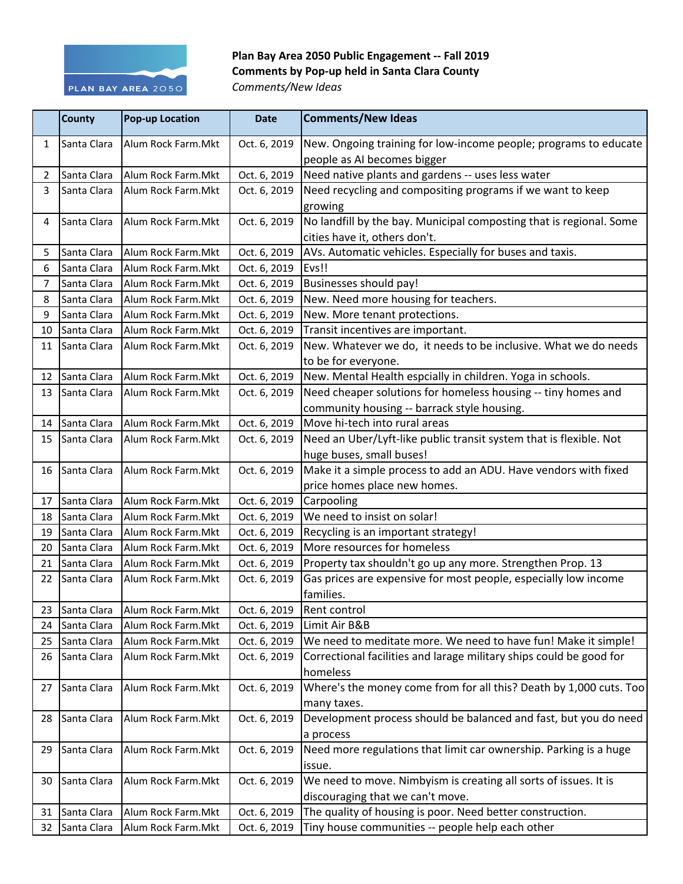

## Plan Bay Area 2050 Public Engagement -- Fall 2019 **Comments by Pop-up held in Santa Clara County** *Comments/New Ideas*

|    | <b>County</b>  | <b>Pop-up Location</b> | <b>Date</b>  | <b>Comments/New Ideas</b>                                           |
|----|----------------|------------------------|--------------|---------------------------------------------------------------------|
| 1  | Santa Clara    | Alum Rock Farm.Mkt     | Oct. 6, 2019 | New. Ongoing training for low-income people; programs to educate    |
|    |                |                        |              | people as AI becomes bigger                                         |
| 2  | Santa Clara    | Alum Rock Farm.Mkt     | Oct. 6, 2019 | Need native plants and gardens -- uses less water                   |
| 3  | Santa Clara    | Alum Rock Farm.Mkt     | Oct. 6, 2019 | Need recycling and compositing programs if we want to keep          |
|    |                |                        |              | growing                                                             |
| 4  | Santa Clara    | Alum Rock Farm.Mkt     | Oct. 6, 2019 | No landfill by the bay. Municipal composting that is regional. Some |
|    |                |                        |              | cities have it, others don't.                                       |
| 5  | Santa Clara    | Alum Rock Farm.Mkt     | Oct. 6, 2019 | AVs. Automatic vehicles. Especially for buses and taxis.            |
| 6  | Santa Clara    | Alum Rock Farm.Mkt     | Oct. 6, 2019 | Evs!!                                                               |
| 7  | Santa Clara    | Alum Rock Farm.Mkt     | Oct. 6, 2019 | <b>Businesses should pay!</b>                                       |
| 8  | Santa Clara    | Alum Rock Farm.Mkt     | Oct. 6, 2019 | New. Need more housing for teachers.                                |
| 9  | Santa Clara    | Alum Rock Farm.Mkt     | Oct. 6, 2019 | New. More tenant protections.                                       |
| 10 | Santa Clara    | Alum Rock Farm.Mkt     | Oct. 6, 2019 | Transit incentives are important.                                   |
| 11 | Santa Clara    | Alum Rock Farm.Mkt     | Oct. 6, 2019 | New. Whatever we do, it needs to be inclusive. What we do needs     |
|    |                |                        |              | to be for everyone.                                                 |
| 12 | Santa Clara    | Alum Rock Farm.Mkt     | Oct. 6, 2019 | New. Mental Health espcially in children. Yoga in schools.          |
| 13 | Santa Clara    | Alum Rock Farm.Mkt     | Oct. 6, 2019 | Need cheaper solutions for homeless housing -- tiny homes and       |
|    |                |                        |              | community housing -- barrack style housing.                         |
| 14 | Santa Clara    | Alum Rock Farm.Mkt     | Oct. 6, 2019 | Move hi-tech into rural areas                                       |
| 15 | Santa Clara    | Alum Rock Farm.Mkt     | Oct. 6, 2019 | Need an Uber/Lyft-like public transit system that is flexible. Not  |
|    |                |                        |              | huge buses, small buses!                                            |
| 16 | Santa Clara    | Alum Rock Farm.Mkt     | Oct. 6, 2019 | Make it a simple process to add an ADU. Have vendors with fixed     |
|    |                |                        |              | price homes place new homes.                                        |
| 17 | Santa Clara    | Alum Rock Farm.Mkt     | Oct. 6, 2019 | Carpooling                                                          |
| 18 | Santa Clara    | Alum Rock Farm.Mkt     | Oct. 6, 2019 | We need to insist on solar!                                         |
| 19 | Santa Clara    | Alum Rock Farm.Mkt     | Oct. 6, 2019 | Recycling is an important strategy!                                 |
| 20 | Santa Clara    | Alum Rock Farm.Mkt     | Oct. 6, 2019 | More resources for homeless                                         |
| 21 | Santa Clara    | Alum Rock Farm.Mkt     | Oct. 6, 2019 | Property tax shouldn't go up any more. Strengthen Prop. 13          |
| 22 | Santa Clara    | Alum Rock Farm.Mkt     | Oct. 6, 2019 | Gas prices are expensive for most people, especially low income     |
|    |                |                        |              | families.                                                           |
|    | 23 Santa Clara | Alum Rock Farm. Mkt    | Oct. 6, 2019 | Rent control                                                        |
| 24 | Santa Clara    | Alum Rock Farm.Mkt     | Oct. 6, 2019 | Limit Air B&B                                                       |
| 25 | Santa Clara    | Alum Rock Farm.Mkt     | Oct. 6, 2019 | We need to meditate more. We need to have fun! Make it simple!      |
| 26 | Santa Clara    | Alum Rock Farm.Mkt     | Oct. 6, 2019 | Correctional facilities and larage military ships could be good for |
|    |                |                        |              | homeless                                                            |
| 27 | Santa Clara    | Alum Rock Farm.Mkt     | Oct. 6, 2019 | Where's the money come from for all this? Death by 1,000 cuts. Too  |
|    |                |                        |              | many taxes.                                                         |
| 28 | Santa Clara    | Alum Rock Farm.Mkt     | Oct. 6, 2019 | Development process should be balanced and fast, but you do need    |
|    |                |                        |              | a process                                                           |
| 29 | Santa Clara    | Alum Rock Farm.Mkt     | Oct. 6, 2019 | Need more regulations that limit car ownership. Parking is a huge   |
|    |                |                        |              | issue.                                                              |
| 30 | Santa Clara    | Alum Rock Farm.Mkt     | Oct. 6, 2019 | We need to move. Nimbyism is creating all sorts of issues. It is    |
|    |                |                        |              | discouraging that we can't move.                                    |
| 31 | Santa Clara    | Alum Rock Farm.Mkt     | Oct. 6, 2019 | The quality of housing is poor. Need better construction.           |
| 32 | Santa Clara    | Alum Rock Farm.Mkt     | Oct. 6, 2019 | Tiny house communities -- people help each other                    |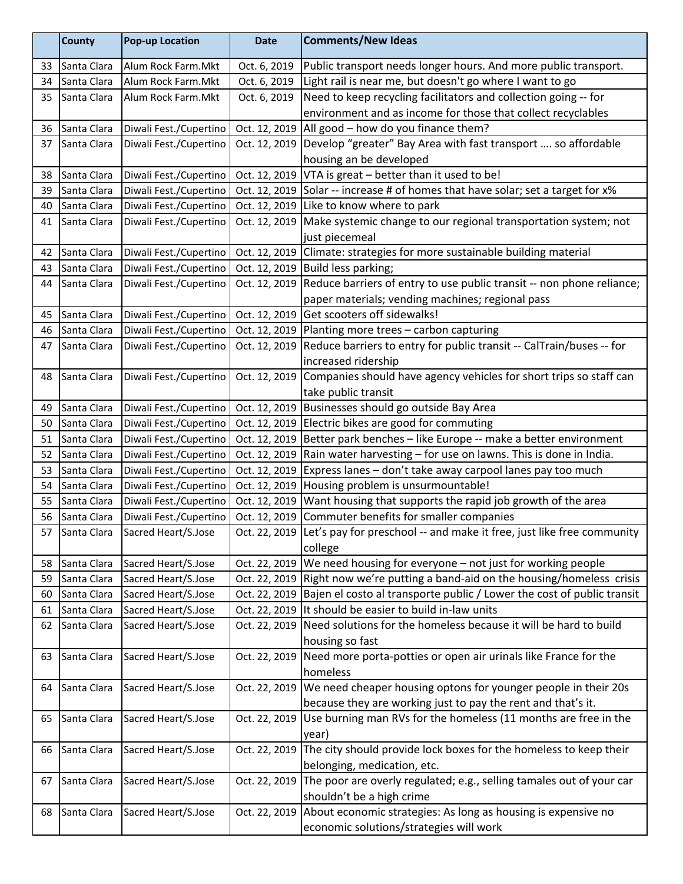| Public transport needs longer hours. And more public transport.<br>Oct. 6, 2019<br>Santa Clara<br>Alum Rock Farm.Mkt<br>33<br>Light rail is near me, but doesn't go where I want to go<br>Oct. 6, 2019<br>Santa Clara<br>Alum Rock Farm.Mkt<br>34<br>Need to keep recycling facilitators and collection going -- for<br>Santa Clara<br>Alum Rock Farm.Mkt<br>Oct. 6, 2019<br>35<br>environment and as income for those that collect recyclables<br>All good - how do you finance them?<br>Diwali Fest./Cupertino<br>Santa Clara<br>Oct. 12, 2019<br>36<br>Oct. 12, 2019<br>Develop "greater" Bay Area with fast transport  so affordable<br>Santa Clara<br>Diwali Fest./Cupertino<br>37<br>housing an be developed<br>VTA is great - better than it used to be!<br>Diwali Fest./Cupertino<br>Oct. 12, 2019<br>Santa Clara<br>38<br>Solar -- increase # of homes that have solar; set a target for x%<br>Santa Clara<br>Diwali Fest./Cupertino<br>Oct. 12, 2019<br>39<br>Like to know where to park<br>Diwali Fest./Cupertino<br>Oct. 12, 2019<br>40<br>Santa Clara<br>Make systemic change to our regional transportation system; not<br>Diwali Fest./Cupertino<br>Oct. 12, 2019<br>41<br>Santa Clara<br>just piecemeal<br>Oct. 12, 2019<br>Climate: strategies for more sustainable building material<br>Diwali Fest./Cupertino<br>Santa Clara<br>42<br>Build less parking;<br>Diwali Fest./Cupertino<br>Oct. 12, 2019<br>Santa Clara<br>43<br>Reduce barriers of entry to use public transit -- non phone reliance;<br>Diwali Fest./Cupertino<br>Oct. 12, 2019<br>Santa Clara<br>44<br>paper materials; vending machines; regional pass<br>Get scooters off sidewalks!<br>Diwali Fest./Cupertino<br>Oct. 12, 2019<br>Santa Clara<br>45<br>Diwali Fest./Cupertino<br>Planting more trees - carbon capturing<br>Santa Clara<br>Oct. 12, 2019<br>46<br>Reduce barriers to entry for public transit -- CalTrain/buses -- for<br>Oct. 12, 2019<br>Diwali Fest./Cupertino<br>47<br>Santa Clara<br>increased ridership<br>Companies should have agency vehicles for short trips so staff can<br>Santa Clara<br>Diwali Fest./Cupertino<br>Oct. 12, 2019<br>48<br>take public transit |    | <b>County</b> | <b>Pop-up Location</b> | <b>Date</b>   | <b>Comments/New Ideas</b>             |
|--------------------------------------------------------------------------------------------------------------------------------------------------------------------------------------------------------------------------------------------------------------------------------------------------------------------------------------------------------------------------------------------------------------------------------------------------------------------------------------------------------------------------------------------------------------------------------------------------------------------------------------------------------------------------------------------------------------------------------------------------------------------------------------------------------------------------------------------------------------------------------------------------------------------------------------------------------------------------------------------------------------------------------------------------------------------------------------------------------------------------------------------------------------------------------------------------------------------------------------------------------------------------------------------------------------------------------------------------------------------------------------------------------------------------------------------------------------------------------------------------------------------------------------------------------------------------------------------------------------------------------------------------------------------------------------------------------------------------------------------------------------------------------------------------------------------------------------------------------------------------------------------------------------------------------------------------------------------------------------------------------------------------------------------------------------------------------------------------------------------------------------------------------------------------------|----|---------------|------------------------|---------------|---------------------------------------|
|                                                                                                                                                                                                                                                                                                                                                                                                                                                                                                                                                                                                                                                                                                                                                                                                                                                                                                                                                                                                                                                                                                                                                                                                                                                                                                                                                                                                                                                                                                                                                                                                                                                                                                                                                                                                                                                                                                                                                                                                                                                                                                                                                                                |    |               |                        |               |                                       |
|                                                                                                                                                                                                                                                                                                                                                                                                                                                                                                                                                                                                                                                                                                                                                                                                                                                                                                                                                                                                                                                                                                                                                                                                                                                                                                                                                                                                                                                                                                                                                                                                                                                                                                                                                                                                                                                                                                                                                                                                                                                                                                                                                                                |    |               |                        |               |                                       |
|                                                                                                                                                                                                                                                                                                                                                                                                                                                                                                                                                                                                                                                                                                                                                                                                                                                                                                                                                                                                                                                                                                                                                                                                                                                                                                                                                                                                                                                                                                                                                                                                                                                                                                                                                                                                                                                                                                                                                                                                                                                                                                                                                                                |    |               |                        |               |                                       |
|                                                                                                                                                                                                                                                                                                                                                                                                                                                                                                                                                                                                                                                                                                                                                                                                                                                                                                                                                                                                                                                                                                                                                                                                                                                                                                                                                                                                                                                                                                                                                                                                                                                                                                                                                                                                                                                                                                                                                                                                                                                                                                                                                                                |    |               |                        |               |                                       |
|                                                                                                                                                                                                                                                                                                                                                                                                                                                                                                                                                                                                                                                                                                                                                                                                                                                                                                                                                                                                                                                                                                                                                                                                                                                                                                                                                                                                                                                                                                                                                                                                                                                                                                                                                                                                                                                                                                                                                                                                                                                                                                                                                                                |    |               |                        |               |                                       |
|                                                                                                                                                                                                                                                                                                                                                                                                                                                                                                                                                                                                                                                                                                                                                                                                                                                                                                                                                                                                                                                                                                                                                                                                                                                                                                                                                                                                                                                                                                                                                                                                                                                                                                                                                                                                                                                                                                                                                                                                                                                                                                                                                                                |    |               |                        |               |                                       |
|                                                                                                                                                                                                                                                                                                                                                                                                                                                                                                                                                                                                                                                                                                                                                                                                                                                                                                                                                                                                                                                                                                                                                                                                                                                                                                                                                                                                                                                                                                                                                                                                                                                                                                                                                                                                                                                                                                                                                                                                                                                                                                                                                                                |    |               |                        |               |                                       |
|                                                                                                                                                                                                                                                                                                                                                                                                                                                                                                                                                                                                                                                                                                                                                                                                                                                                                                                                                                                                                                                                                                                                                                                                                                                                                                                                                                                                                                                                                                                                                                                                                                                                                                                                                                                                                                                                                                                                                                                                                                                                                                                                                                                |    |               |                        |               |                                       |
|                                                                                                                                                                                                                                                                                                                                                                                                                                                                                                                                                                                                                                                                                                                                                                                                                                                                                                                                                                                                                                                                                                                                                                                                                                                                                                                                                                                                                                                                                                                                                                                                                                                                                                                                                                                                                                                                                                                                                                                                                                                                                                                                                                                |    |               |                        |               |                                       |
|                                                                                                                                                                                                                                                                                                                                                                                                                                                                                                                                                                                                                                                                                                                                                                                                                                                                                                                                                                                                                                                                                                                                                                                                                                                                                                                                                                                                                                                                                                                                                                                                                                                                                                                                                                                                                                                                                                                                                                                                                                                                                                                                                                                |    |               |                        |               |                                       |
|                                                                                                                                                                                                                                                                                                                                                                                                                                                                                                                                                                                                                                                                                                                                                                                                                                                                                                                                                                                                                                                                                                                                                                                                                                                                                                                                                                                                                                                                                                                                                                                                                                                                                                                                                                                                                                                                                                                                                                                                                                                                                                                                                                                |    |               |                        |               |                                       |
|                                                                                                                                                                                                                                                                                                                                                                                                                                                                                                                                                                                                                                                                                                                                                                                                                                                                                                                                                                                                                                                                                                                                                                                                                                                                                                                                                                                                                                                                                                                                                                                                                                                                                                                                                                                                                                                                                                                                                                                                                                                                                                                                                                                |    |               |                        |               |                                       |
|                                                                                                                                                                                                                                                                                                                                                                                                                                                                                                                                                                                                                                                                                                                                                                                                                                                                                                                                                                                                                                                                                                                                                                                                                                                                                                                                                                                                                                                                                                                                                                                                                                                                                                                                                                                                                                                                                                                                                                                                                                                                                                                                                                                |    |               |                        |               |                                       |
|                                                                                                                                                                                                                                                                                                                                                                                                                                                                                                                                                                                                                                                                                                                                                                                                                                                                                                                                                                                                                                                                                                                                                                                                                                                                                                                                                                                                                                                                                                                                                                                                                                                                                                                                                                                                                                                                                                                                                                                                                                                                                                                                                                                |    |               |                        |               |                                       |
|                                                                                                                                                                                                                                                                                                                                                                                                                                                                                                                                                                                                                                                                                                                                                                                                                                                                                                                                                                                                                                                                                                                                                                                                                                                                                                                                                                                                                                                                                                                                                                                                                                                                                                                                                                                                                                                                                                                                                                                                                                                                                                                                                                                |    |               |                        |               |                                       |
|                                                                                                                                                                                                                                                                                                                                                                                                                                                                                                                                                                                                                                                                                                                                                                                                                                                                                                                                                                                                                                                                                                                                                                                                                                                                                                                                                                                                                                                                                                                                                                                                                                                                                                                                                                                                                                                                                                                                                                                                                                                                                                                                                                                |    |               |                        |               |                                       |
|                                                                                                                                                                                                                                                                                                                                                                                                                                                                                                                                                                                                                                                                                                                                                                                                                                                                                                                                                                                                                                                                                                                                                                                                                                                                                                                                                                                                                                                                                                                                                                                                                                                                                                                                                                                                                                                                                                                                                                                                                                                                                                                                                                                |    |               |                        |               |                                       |
|                                                                                                                                                                                                                                                                                                                                                                                                                                                                                                                                                                                                                                                                                                                                                                                                                                                                                                                                                                                                                                                                                                                                                                                                                                                                                                                                                                                                                                                                                                                                                                                                                                                                                                                                                                                                                                                                                                                                                                                                                                                                                                                                                                                |    |               |                        |               |                                       |
|                                                                                                                                                                                                                                                                                                                                                                                                                                                                                                                                                                                                                                                                                                                                                                                                                                                                                                                                                                                                                                                                                                                                                                                                                                                                                                                                                                                                                                                                                                                                                                                                                                                                                                                                                                                                                                                                                                                                                                                                                                                                                                                                                                                |    |               |                        |               |                                       |
|                                                                                                                                                                                                                                                                                                                                                                                                                                                                                                                                                                                                                                                                                                                                                                                                                                                                                                                                                                                                                                                                                                                                                                                                                                                                                                                                                                                                                                                                                                                                                                                                                                                                                                                                                                                                                                                                                                                                                                                                                                                                                                                                                                                |    |               |                        |               |                                       |
|                                                                                                                                                                                                                                                                                                                                                                                                                                                                                                                                                                                                                                                                                                                                                                                                                                                                                                                                                                                                                                                                                                                                                                                                                                                                                                                                                                                                                                                                                                                                                                                                                                                                                                                                                                                                                                                                                                                                                                                                                                                                                                                                                                                |    |               |                        |               |                                       |
|                                                                                                                                                                                                                                                                                                                                                                                                                                                                                                                                                                                                                                                                                                                                                                                                                                                                                                                                                                                                                                                                                                                                                                                                                                                                                                                                                                                                                                                                                                                                                                                                                                                                                                                                                                                                                                                                                                                                                                                                                                                                                                                                                                                |    |               |                        |               |                                       |
|                                                                                                                                                                                                                                                                                                                                                                                                                                                                                                                                                                                                                                                                                                                                                                                                                                                                                                                                                                                                                                                                                                                                                                                                                                                                                                                                                                                                                                                                                                                                                                                                                                                                                                                                                                                                                                                                                                                                                                                                                                                                                                                                                                                | 49 | Santa Clara   | Diwali Fest./Cupertino | Oct. 12, 2019 | Businesses should go outside Bay Area |
| Electric bikes are good for commuting<br>Santa Clara<br>Diwali Fest./Cupertino<br>Oct. 12, 2019<br>50                                                                                                                                                                                                                                                                                                                                                                                                                                                                                                                                                                                                                                                                                                                                                                                                                                                                                                                                                                                                                                                                                                                                                                                                                                                                                                                                                                                                                                                                                                                                                                                                                                                                                                                                                                                                                                                                                                                                                                                                                                                                          |    |               |                        |               |                                       |
| Better park benches - like Europe -- make a better environment<br>Diwali Fest./Cupertino<br>Oct. 12, 2019<br>Santa Clara<br>51                                                                                                                                                                                                                                                                                                                                                                                                                                                                                                                                                                                                                                                                                                                                                                                                                                                                                                                                                                                                                                                                                                                                                                                                                                                                                                                                                                                                                                                                                                                                                                                                                                                                                                                                                                                                                                                                                                                                                                                                                                                 |    |               |                        |               |                                       |
| Rain water harvesting - for use on lawns. This is done in India.<br>Diwali Fest./Cupertino<br>Oct. 12, 2019<br>Santa Clara<br>52                                                                                                                                                                                                                                                                                                                                                                                                                                                                                                                                                                                                                                                                                                                                                                                                                                                                                                                                                                                                                                                                                                                                                                                                                                                                                                                                                                                                                                                                                                                                                                                                                                                                                                                                                                                                                                                                                                                                                                                                                                               |    |               |                        |               |                                       |
| Diwali Fest./Cupertino<br>Express lanes - don't take away carpool lanes pay too much<br>Santa Clara<br>Oct. 12, 2019<br>53                                                                                                                                                                                                                                                                                                                                                                                                                                                                                                                                                                                                                                                                                                                                                                                                                                                                                                                                                                                                                                                                                                                                                                                                                                                                                                                                                                                                                                                                                                                                                                                                                                                                                                                                                                                                                                                                                                                                                                                                                                                     |    |               |                        |               |                                       |
| Housing problem is unsurmountable!<br>Santa Clara<br>Diwali Fest./Cupertino<br>Oct. 12, 2019<br>54                                                                                                                                                                                                                                                                                                                                                                                                                                                                                                                                                                                                                                                                                                                                                                                                                                                                                                                                                                                                                                                                                                                                                                                                                                                                                                                                                                                                                                                                                                                                                                                                                                                                                                                                                                                                                                                                                                                                                                                                                                                                             |    |               |                        |               |                                       |
| Want housing that supports the rapid job growth of the area<br>Diwali Fest./Cupertino<br>Oct. 12, 2019<br>55<br>Santa Clara                                                                                                                                                                                                                                                                                                                                                                                                                                                                                                                                                                                                                                                                                                                                                                                                                                                                                                                                                                                                                                                                                                                                                                                                                                                                                                                                                                                                                                                                                                                                                                                                                                                                                                                                                                                                                                                                                                                                                                                                                                                    |    |               |                        |               |                                       |
| Commuter benefits for smaller companies<br>Diwali Fest./Cupertino<br>56<br>Santa Clara<br>Oct. 12, 2019                                                                                                                                                                                                                                                                                                                                                                                                                                                                                                                                                                                                                                                                                                                                                                                                                                                                                                                                                                                                                                                                                                                                                                                                                                                                                                                                                                                                                                                                                                                                                                                                                                                                                                                                                                                                                                                                                                                                                                                                                                                                        |    |               |                        |               |                                       |
| Oct. 22, 2019 Let's pay for preschool -- and make it free, just like free community<br>Santa Clara<br>57<br>Sacred Heart/S.Jose                                                                                                                                                                                                                                                                                                                                                                                                                                                                                                                                                                                                                                                                                                                                                                                                                                                                                                                                                                                                                                                                                                                                                                                                                                                                                                                                                                                                                                                                                                                                                                                                                                                                                                                                                                                                                                                                                                                                                                                                                                                |    |               |                        |               |                                       |
| college                                                                                                                                                                                                                                                                                                                                                                                                                                                                                                                                                                                                                                                                                                                                                                                                                                                                                                                                                                                                                                                                                                                                                                                                                                                                                                                                                                                                                                                                                                                                                                                                                                                                                                                                                                                                                                                                                                                                                                                                                                                                                                                                                                        |    |               |                        |               |                                       |
| We need housing for everyone - not just for working people<br>Sacred Heart/S.Jose<br>Santa Clara<br>Oct. 22, 2019<br>58                                                                                                                                                                                                                                                                                                                                                                                                                                                                                                                                                                                                                                                                                                                                                                                                                                                                                                                                                                                                                                                                                                                                                                                                                                                                                                                                                                                                                                                                                                                                                                                                                                                                                                                                                                                                                                                                                                                                                                                                                                                        |    |               |                        |               |                                       |
| Right now we're putting a band-aid on the housing/homeless crisis<br>Santa Clara<br>Sacred Heart/S.Jose<br>Oct. 22, 2019<br>59                                                                                                                                                                                                                                                                                                                                                                                                                                                                                                                                                                                                                                                                                                                                                                                                                                                                                                                                                                                                                                                                                                                                                                                                                                                                                                                                                                                                                                                                                                                                                                                                                                                                                                                                                                                                                                                                                                                                                                                                                                                 |    |               |                        |               |                                       |
| Bajen el costo al transporte public / Lower the cost of public transit<br>Oct. 22, 2019<br>Sacred Heart/S.Jose<br>Santa Clara<br>60<br>It should be easier to build in-law units                                                                                                                                                                                                                                                                                                                                                                                                                                                                                                                                                                                                                                                                                                                                                                                                                                                                                                                                                                                                                                                                                                                                                                                                                                                                                                                                                                                                                                                                                                                                                                                                                                                                                                                                                                                                                                                                                                                                                                                               |    |               |                        |               |                                       |
| Sacred Heart/S.Jose<br>Oct. 22, 2019<br>Santa Clara<br>61<br>Need solutions for the homeless because it will be hard to build                                                                                                                                                                                                                                                                                                                                                                                                                                                                                                                                                                                                                                                                                                                                                                                                                                                                                                                                                                                                                                                                                                                                                                                                                                                                                                                                                                                                                                                                                                                                                                                                                                                                                                                                                                                                                                                                                                                                                                                                                                                  |    |               |                        |               |                                       |
| Santa Clara<br>Sacred Heart/S.Jose<br>Oct. 22, 2019<br>62                                                                                                                                                                                                                                                                                                                                                                                                                                                                                                                                                                                                                                                                                                                                                                                                                                                                                                                                                                                                                                                                                                                                                                                                                                                                                                                                                                                                                                                                                                                                                                                                                                                                                                                                                                                                                                                                                                                                                                                                                                                                                                                      |    |               |                        |               |                                       |
| housing so fast                                                                                                                                                                                                                                                                                                                                                                                                                                                                                                                                                                                                                                                                                                                                                                                                                                                                                                                                                                                                                                                                                                                                                                                                                                                                                                                                                                                                                                                                                                                                                                                                                                                                                                                                                                                                                                                                                                                                                                                                                                                                                                                                                                |    |               |                        |               |                                       |
| Need more porta-potties or open air urinals like France for the<br>Sacred Heart/S.Jose<br>Santa Clara<br>Oct. 22, 2019<br>63<br>homeless                                                                                                                                                                                                                                                                                                                                                                                                                                                                                                                                                                                                                                                                                                                                                                                                                                                                                                                                                                                                                                                                                                                                                                                                                                                                                                                                                                                                                                                                                                                                                                                                                                                                                                                                                                                                                                                                                                                                                                                                                                       |    |               |                        |               |                                       |
| We need cheaper housing optons for younger people in their 20s                                                                                                                                                                                                                                                                                                                                                                                                                                                                                                                                                                                                                                                                                                                                                                                                                                                                                                                                                                                                                                                                                                                                                                                                                                                                                                                                                                                                                                                                                                                                                                                                                                                                                                                                                                                                                                                                                                                                                                                                                                                                                                                 |    |               |                        |               |                                       |
| Sacred Heart/S.Jose<br>Santa Clara<br>Oct. 22, 2019<br>64                                                                                                                                                                                                                                                                                                                                                                                                                                                                                                                                                                                                                                                                                                                                                                                                                                                                                                                                                                                                                                                                                                                                                                                                                                                                                                                                                                                                                                                                                                                                                                                                                                                                                                                                                                                                                                                                                                                                                                                                                                                                                                                      |    |               |                        |               |                                       |
| because they are working just to pay the rent and that's it.<br>Use burning man RVs for the homeless (11 months are free in the<br>Sacred Heart/S.Jose<br>Oct. 22, 2019<br>Santa Clara                                                                                                                                                                                                                                                                                                                                                                                                                                                                                                                                                                                                                                                                                                                                                                                                                                                                                                                                                                                                                                                                                                                                                                                                                                                                                                                                                                                                                                                                                                                                                                                                                                                                                                                                                                                                                                                                                                                                                                                         |    |               |                        |               |                                       |
| 65                                                                                                                                                                                                                                                                                                                                                                                                                                                                                                                                                                                                                                                                                                                                                                                                                                                                                                                                                                                                                                                                                                                                                                                                                                                                                                                                                                                                                                                                                                                                                                                                                                                                                                                                                                                                                                                                                                                                                                                                                                                                                                                                                                             |    |               |                        |               |                                       |
| year)<br>The city should provide lock boxes for the homeless to keep their<br>Santa Clara<br>Oct. 22, 2019                                                                                                                                                                                                                                                                                                                                                                                                                                                                                                                                                                                                                                                                                                                                                                                                                                                                                                                                                                                                                                                                                                                                                                                                                                                                                                                                                                                                                                                                                                                                                                                                                                                                                                                                                                                                                                                                                                                                                                                                                                                                     |    |               |                        |               |                                       |
| Sacred Heart/S.Jose<br>66<br>belonging, medication, etc.                                                                                                                                                                                                                                                                                                                                                                                                                                                                                                                                                                                                                                                                                                                                                                                                                                                                                                                                                                                                                                                                                                                                                                                                                                                                                                                                                                                                                                                                                                                                                                                                                                                                                                                                                                                                                                                                                                                                                                                                                                                                                                                       |    |               |                        |               |                                       |
| The poor are overly regulated; e.g., selling tamales out of your car<br>Sacred Heart/S.Jose<br>Oct. 22, 2019<br>Santa Clara<br>67                                                                                                                                                                                                                                                                                                                                                                                                                                                                                                                                                                                                                                                                                                                                                                                                                                                                                                                                                                                                                                                                                                                                                                                                                                                                                                                                                                                                                                                                                                                                                                                                                                                                                                                                                                                                                                                                                                                                                                                                                                              |    |               |                        |               |                                       |
| shouldn't be a high crime                                                                                                                                                                                                                                                                                                                                                                                                                                                                                                                                                                                                                                                                                                                                                                                                                                                                                                                                                                                                                                                                                                                                                                                                                                                                                                                                                                                                                                                                                                                                                                                                                                                                                                                                                                                                                                                                                                                                                                                                                                                                                                                                                      |    |               |                        |               |                                       |
| About economic strategies: As long as housing is expensive no<br>Santa Clara<br>Sacred Heart/S.Jose<br>Oct. 22, 2019<br>68                                                                                                                                                                                                                                                                                                                                                                                                                                                                                                                                                                                                                                                                                                                                                                                                                                                                                                                                                                                                                                                                                                                                                                                                                                                                                                                                                                                                                                                                                                                                                                                                                                                                                                                                                                                                                                                                                                                                                                                                                                                     |    |               |                        |               |                                       |
| economic solutions/strategies will work                                                                                                                                                                                                                                                                                                                                                                                                                                                                                                                                                                                                                                                                                                                                                                                                                                                                                                                                                                                                                                                                                                                                                                                                                                                                                                                                                                                                                                                                                                                                                                                                                                                                                                                                                                                                                                                                                                                                                                                                                                                                                                                                        |    |               |                        |               |                                       |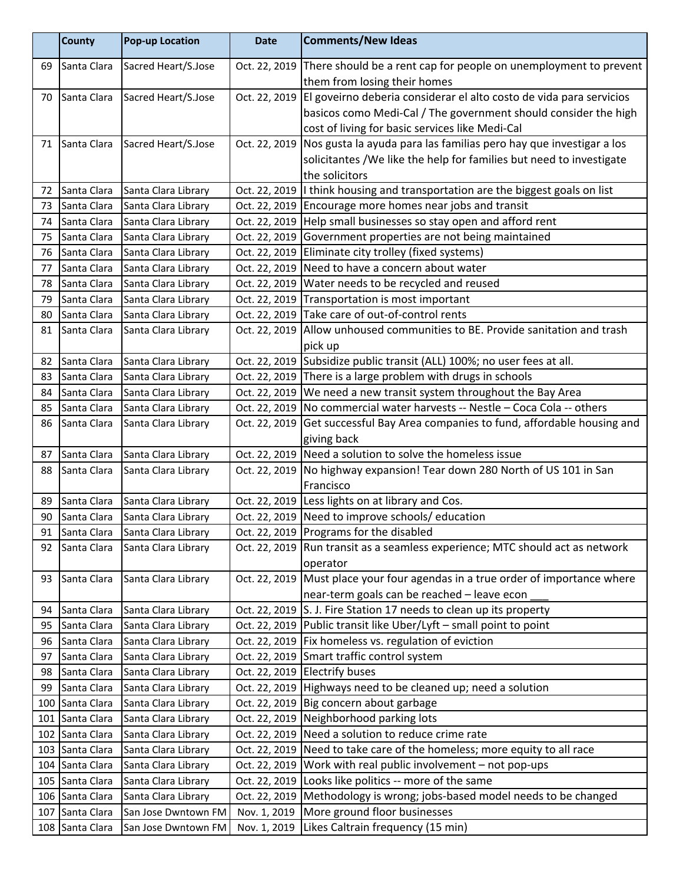|    | <b>County</b>                      | <b>Pop-up Location</b>                     | <b>Date</b>   | <b>Comments/New Ideas</b>                                                                                                       |
|----|------------------------------------|--------------------------------------------|---------------|---------------------------------------------------------------------------------------------------------------------------------|
| 69 | Santa Clara                        | Sacred Heart/S.Jose                        | Oct. 22, 2019 | There should be a rent cap for people on unemployment to prevent                                                                |
|    |                                    |                                            |               | them from losing their homes                                                                                                    |
| 70 | Santa Clara                        | Sacred Heart/S.Jose                        | Oct. 22, 2019 | El goveirno deberia considerar el alto costo de vida para servicios                                                             |
|    |                                    |                                            |               | basicos como Medi-Cal / The government should consider the high                                                                 |
|    |                                    |                                            |               | cost of living for basic services like Medi-Cal                                                                                 |
| 71 | Santa Clara                        | Sacred Heart/S.Jose                        | Oct. 22, 2019 | Nos gusta la ayuda para las familias pero hay que investigar a los                                                              |
|    |                                    |                                            |               | solicitantes / We like the help for families but need to investigate                                                            |
|    |                                    |                                            |               | the solicitors                                                                                                                  |
| 72 | Santa Clara                        | Santa Clara Library                        |               | Oct. 22, 2019  I think housing and transportation are the biggest goals on list                                                 |
| 73 | Santa Clara                        | Santa Clara Library                        |               | Oct. 22, 2019 Encourage more homes near jobs and transit                                                                        |
| 74 | Santa Clara                        | Santa Clara Library                        |               | Oct. 22, 2019   Help small businesses so stay open and afford rent                                                              |
| 75 | Santa Clara                        | Santa Clara Library                        | Oct. 22, 2019 | Government properties are not being maintained                                                                                  |
| 76 | Santa Clara                        | Santa Clara Library                        | Oct. 22, 2019 | Eliminate city trolley (fixed systems)                                                                                          |
| 77 | Santa Clara                        | Santa Clara Library                        | Oct. 22, 2019 | Need to have a concern about water                                                                                              |
| 78 | Santa Clara                        | Santa Clara Library                        | Oct. 22, 2019 | Water needs to be recycled and reused                                                                                           |
| 79 | Santa Clara                        | Santa Clara Library                        | Oct. 22, 2019 | Transportation is most important                                                                                                |
| 80 | Santa Clara                        | Santa Clara Library                        | Oct. 22, 2019 | Take care of out-of-control rents                                                                                               |
| 81 | Santa Clara                        | Santa Clara Library                        | Oct. 22, 2019 | Allow unhoused communities to BE. Provide sanitation and trash                                                                  |
|    |                                    |                                            |               | pick up                                                                                                                         |
| 82 | Santa Clara                        | Santa Clara Library                        | Oct. 22, 2019 | Subsidize public transit (ALL) 100%; no user fees at all.                                                                       |
| 83 | Santa Clara                        | Santa Clara Library                        | Oct. 22, 2019 | There is a large problem with drugs in schools                                                                                  |
| 84 | Santa Clara                        | Santa Clara Library                        | Oct. 22, 2019 | We need a new transit system throughout the Bay Area                                                                            |
| 85 | Santa Clara                        | Santa Clara Library                        | Oct. 22, 2019 | No commercial water harvests -- Nestle - Coca Cola -- others                                                                    |
| 86 | Santa Clara                        | Santa Clara Library                        | Oct. 22, 2019 | Get successful Bay Area companies to fund, affordable housing and                                                               |
|    |                                    |                                            |               | giving back                                                                                                                     |
| 87 | Santa Clara                        | Santa Clara Library                        |               | Oct. 22, 2019   Need a solution to solve the homeless issue                                                                     |
| 88 | Santa Clara                        | Santa Clara Library                        | Oct. 22, 2019 | No highway expansion! Tear down 280 North of US 101 in San                                                                      |
|    |                                    |                                            |               | Francisco                                                                                                                       |
| 89 | Santa Clara                        | Santa Clara Library                        |               | Oct. 22, 2019 Less lights on at library and Cos.                                                                                |
| 90 | Santa Clara                        | Santa Clara Library                        |               | Oct. 22, 2019 Need to improve schools/ education                                                                                |
| 91 | Santa Clara                        | Santa Clara Library                        |               | Oct. 22, 2019 Programs for the disabled                                                                                         |
| 92 | Santa Clara                        | Santa Clara Library                        |               | Oct. 22, 2019   Run transit as a seamless experience; MTC should act as network                                                 |
|    |                                    |                                            |               | operator                                                                                                                        |
| 93 | Santa Clara                        | Santa Clara Library                        |               | Oct. 22, 2019 Must place your four agendas in a true order of importance where                                                  |
|    |                                    | Santa Clara Library                        |               | near-term goals can be reached - leave econ<br>Oct. 22, 2019 S. J. Fire Station 17 needs to clean up its property               |
| 94 | Santa Clara                        |                                            |               |                                                                                                                                 |
| 95 | Santa Clara                        | Santa Clara Library                        |               | Oct. 22, 2019   Public transit like Uber/Lyft - small point to point<br>Oct. 22, 2019   Fix homeless vs. regulation of eviction |
| 96 | Santa Clara<br>Santa Clara         | Santa Clara Library                        |               |                                                                                                                                 |
| 97 |                                    | Santa Clara Library                        | Oct. 22, 2019 | Smart traffic control system                                                                                                    |
| 98 | Santa Clara                        | Santa Clara Library                        |               | Oct. 22, 2019   Electrify buses<br>Oct. 22, 2019   Highways need to be cleaned up; need a solution                              |
| 99 | Santa Clara                        | Santa Clara Library                        |               |                                                                                                                                 |
|    | 100 Santa Clara                    | Santa Clara Library                        |               | Oct. 22, 2019 Big concern about garbage                                                                                         |
|    | 101 Santa Clara<br>102 Santa Clara | Santa Clara Library<br>Santa Clara Library | Oct. 22, 2019 | Oct. 22, 2019 Neighborhood parking lots<br>Need a solution to reduce crime rate                                                 |
|    | 103 Santa Clara                    | Santa Clara Library                        | Oct. 22, 2019 | Need to take care of the homeless; more equity to all race                                                                      |
|    | 104 Santa Clara                    | Santa Clara Library                        | Oct. 22, 2019 | Work with real public involvement - not pop-ups                                                                                 |
|    | 105 Santa Clara                    | Santa Clara Library                        | Oct. 22, 2019 | Looks like politics -- more of the same                                                                                         |
|    | 106 Santa Clara                    | Santa Clara Library                        | Oct. 22, 2019 | Methodology is wrong; jobs-based model needs to be changed                                                                      |
|    | 107 Santa Clara                    | San Jose Dwntown FM                        | Nov. 1, 2019  | More ground floor businesses                                                                                                    |
|    | 108 Santa Clara                    | San Jose Dwntown FM                        | Nov. 1, 2019  | Likes Caltrain frequency (15 min)                                                                                               |
|    |                                    |                                            |               |                                                                                                                                 |